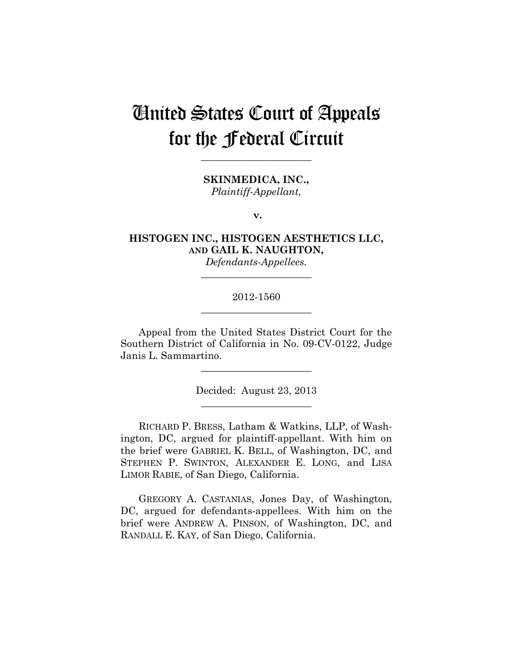# United States Court of Appeals for the Federal Circuit

**\_\_\_\_\_\_\_\_\_\_\_\_\_\_\_\_\_\_\_\_\_\_** 

**SKINMEDICA, INC.,** *Plaintiff-Appellant,*

**v.**

**HISTOGEN INC., HISTOGEN AESTHETICS LLC, AND GAIL K. NAUGHTON,**

*Defendants-Appellees.* **\_\_\_\_\_\_\_\_\_\_\_\_\_\_\_\_\_\_\_\_\_\_** 

# 2012-1560 **\_\_\_\_\_\_\_\_\_\_\_\_\_\_\_\_\_\_\_\_\_\_**

Appeal from the United States District Court for the Southern District of California in No. 09-CV-0122, Judge Janis L. Sammartino.

> Decided: August 23, 2013 **\_\_\_\_\_\_\_\_\_\_\_\_\_\_\_\_\_\_\_\_\_\_**

**\_\_\_\_\_\_\_\_\_\_\_\_\_\_\_\_\_\_\_\_\_\_** 

RICHARD P. BRESS, Latham & Watkins, LLP, of Washington, DC, argued for plaintiff-appellant. With him on the brief were GABRIEL K. BELL, of Washington, DC, and STEPHEN P. SWINTON, ALEXANDER E. LONG, and LISA LIMOR RABIE, of San Diego, California.

GREGORY A. CASTANIAS, Jones Day, of Washington, DC, argued for defendants-appellees. With him on the brief were ANDREW A. PINSON, of Washington, DC, and RANDALL E. KAY, of San Diego, California.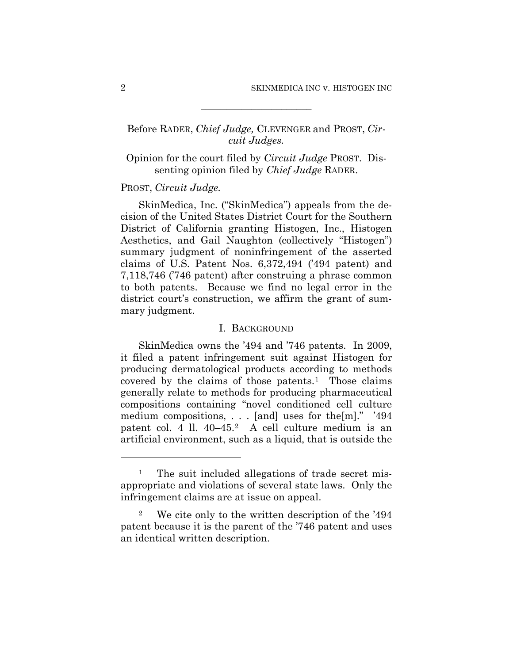# Before RADER, *Chief Judge,* CLEVENGER and PROST, *Circuit Judges.*

**\_\_\_\_\_\_\_\_\_\_\_\_\_\_\_\_\_\_\_\_\_\_** 

# Opinion for the court filed by *Circuit Judge* PROST. Dissenting opinion filed by *Chief Judge* RADER.

## PROST, *Circuit Judge.*

SkinMedica, Inc. ("SkinMedica") appeals from the decision of the United States District Court for the Southern District of California granting Histogen, Inc., Histogen Aesthetics, and Gail Naughton (collectively "Histogen") summary judgment of noninfringement of the asserted claims of U.S. Patent Nos. 6,372,494 ('494 patent) and 7,118,746 ('746 patent) after construing a phrase common to both patents. Because we find no legal error in the district court's construction, we affirm the grant of summary judgment.

## I. BACKGROUND

SkinMedica owns the '494 and '746 patents. In 2009, it filed a patent infringement suit against Histogen for producing dermatological products according to methods covered by the claims of those patents.1 Those claims generally relate to methods for producing pharmaceutical compositions containing "novel conditioned cell culture medium compositions, . . . [and] uses for the[m]." '494 patent col. 4 ll. 40–45.2 A cell culture medium is an artificial environment, such as a liquid, that is outside the

 $\overline{a}$ 

The suit included allegations of trade secret misappropriate and violations of several state laws. Only the infringement claims are at issue on appeal.

<sup>2</sup> We cite only to the written description of the '494 patent because it is the parent of the '746 patent and uses an identical written description.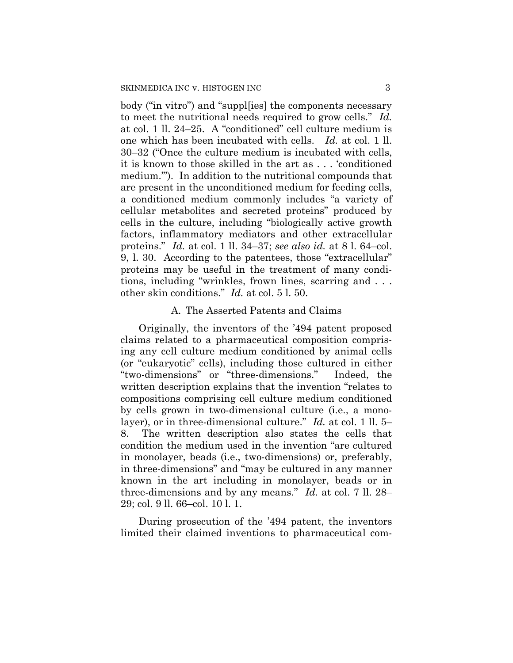body ("in vitro") and "suppl[ies] the components necessary to meet the nutritional needs required to grow cells." *Id.* at col. 1 ll. 24–25. A "conditioned" cell culture medium is one which has been incubated with cells. *Id.* at col. 1 ll. 30–32 ("Once the culture medium is incubated with cells, it is known to those skilled in the art as . . . 'conditioned medium.'"). In addition to the nutritional compounds that are present in the unconditioned medium for feeding cells, a conditioned medium commonly includes "a variety of cellular metabolites and secreted proteins" produced by cells in the culture, including "biologically active growth factors, inflammatory mediators and other extracellular proteins." *Id.* at col. 1 ll. 34–37; *see also id.* at 8 l. 64–col. 9, l. 30. According to the patentees, those "extracellular" proteins may be useful in the treatment of many conditions, including "wrinkles, frown lines, scarring and . . . other skin conditions." *Id.* at col. 5 l. 50.

## A. The Asserted Patents and Claims

Originally, the inventors of the '494 patent proposed claims related to a pharmaceutical composition comprising any cell culture medium conditioned by animal cells (or "eukaryotic" cells), including those cultured in either "two-dimensions" or "three-dimensions." Indeed, the written description explains that the invention "relates to compositions comprising cell culture medium conditioned by cells grown in two-dimensional culture (i.e., a monolayer), or in three-dimensional culture." *Id.* at col. 1 ll. 5– 8. The written description also states the cells that condition the medium used in the invention "are cultured in monolayer, beads (i.e., two-dimensions) or, preferably, in three-dimensions" and "may be cultured in any manner known in the art including in monolayer, beads or in three-dimensions and by any means." *Id.* at col. 7 ll. 28– 29; col. 9 ll. 66–col. 10 l. 1.

During prosecution of the '494 patent, the inventors limited their claimed inventions to pharmaceutical com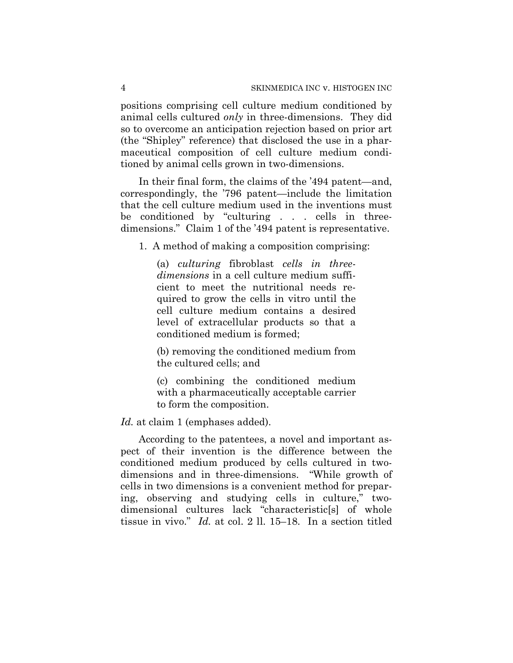positions comprising cell culture medium conditioned by animal cells cultured *only* in three-dimensions. They did so to overcome an anticipation rejection based on prior art (the "Shipley" reference) that disclosed the use in a pharmaceutical composition of cell culture medium conditioned by animal cells grown in two-dimensions.

In their final form, the claims of the '494 patent—and, correspondingly, the '796 patent—include the limitation that the cell culture medium used in the inventions must be conditioned by "culturing . . . cells in threedimensions." Claim 1 of the '494 patent is representative.

1. A method of making a composition comprising:

(a) *culturing* fibroblast *cells in threedimensions* in a cell culture medium sufficient to meet the nutritional needs required to grow the cells in vitro until the cell culture medium contains a desired level of extracellular products so that a conditioned medium is formed;

(b) removing the conditioned medium from the cultured cells; and

(c) combining the conditioned medium with a pharmaceutically acceptable carrier to form the composition.

*Id.* at claim 1 (emphases added).

According to the patentees, a novel and important aspect of their invention is the difference between the conditioned medium produced by cells cultured in twodimensions and in three-dimensions. "While growth of cells in two dimensions is a convenient method for preparing, observing and studying cells in culture," twodimensional cultures lack "characteristic<sup>[s]</sup> of whole tissue in vivo." *Id.* at col. 2 ll. 15–18. In a section titled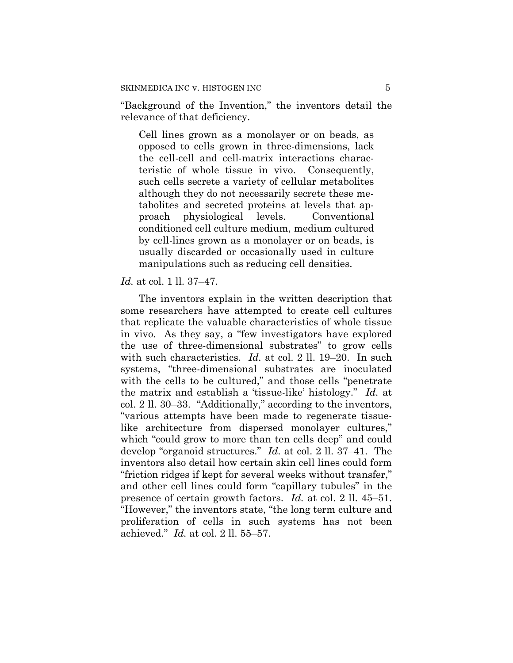"Background of the Invention," the inventors detail the relevance of that deficiency.

Cell lines grown as a monolayer or on beads, as opposed to cells grown in three-dimensions, lack the cell-cell and cell-matrix interactions characteristic of whole tissue in vivo. Consequently, such cells secrete a variety of cellular metabolites although they do not necessarily secrete these metabolites and secreted proteins at levels that approach physiological levels. Conventional conditioned cell culture medium, medium cultured by cell-lines grown as a monolayer or on beads, is usually discarded or occasionally used in culture manipulations such as reducing cell densities.

#### *Id.* at col. 1 ll. 37–47.

The inventors explain in the written description that some researchers have attempted to create cell cultures that replicate the valuable characteristics of whole tissue in vivo. As they say, a "few investigators have explored the use of three-dimensional substrates" to grow cells with such characteristics. *Id.* at col. 2 ll. 19–20. In such systems, "three-dimensional substrates are inoculated with the cells to be cultured," and those cells "penetrate the matrix and establish a 'tissue-like' histology." *Id.* at col. 2 ll. 30–33. "Additionally," according to the inventors, "various attempts have been made to regenerate tissuelike architecture from dispersed monolayer cultures," which "could grow to more than ten cells deep" and could develop "organoid structures." *Id.* at col. 2 ll. 37–41. The inventors also detail how certain skin cell lines could form "friction ridges if kept for several weeks without transfer," and other cell lines could form "capillary tubules" in the presence of certain growth factors. *Id.* at col. 2 ll. 45–51. "However," the inventors state, "the long term culture and proliferation of cells in such systems has not been achieved." *Id.* at col. 2 ll. 55–57.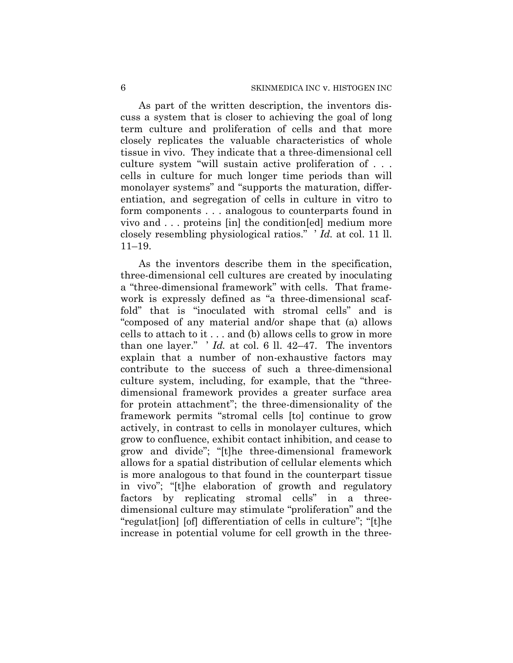As part of the written description, the inventors discuss a system that is closer to achieving the goal of long term culture and proliferation of cells and that more closely replicates the valuable characteristics of whole tissue in vivo. They indicate that a three-dimensional cell culture system "will sustain active proliferation of . . . cells in culture for much longer time periods than will monolayer systems" and "supports the maturation, differentiation, and segregation of cells in culture in vitro to form components . . . analogous to counterparts found in vivo and . . . proteins [in] the condition[ed] medium more closely resembling physiological ratios." ' *Id.* at col. 11 ll. 11–19.

As the inventors describe them in the specification, three-dimensional cell cultures are created by inoculating a "three-dimensional framework" with cells. That framework is expressly defined as "a three-dimensional scaffold" that is "inoculated with stromal cells" and is "composed of any material and/or shape that (a) allows cells to attach to it . . . and (b) allows cells to grow in more than one layer." ' *Id.* at col. 6 ll. 42–47. The inventors explain that a number of non-exhaustive factors may contribute to the success of such a three-dimensional culture system, including, for example, that the "threedimensional framework provides a greater surface area for protein attachment"; the three-dimensionality of the framework permits "stromal cells [to] continue to grow actively, in contrast to cells in monolayer cultures, which grow to confluence, exhibit contact inhibition, and cease to grow and divide"; "[t]he three-dimensional framework allows for a spatial distribution of cellular elements which is more analogous to that found in the counterpart tissue in vivo"; "[t]he elaboration of growth and regulatory factors by replicating stromal cells" in a threedimensional culture may stimulate "proliferation" and the "regulat[ion] [of] differentiation of cells in culture"; "[t]he increase in potential volume for cell growth in the three-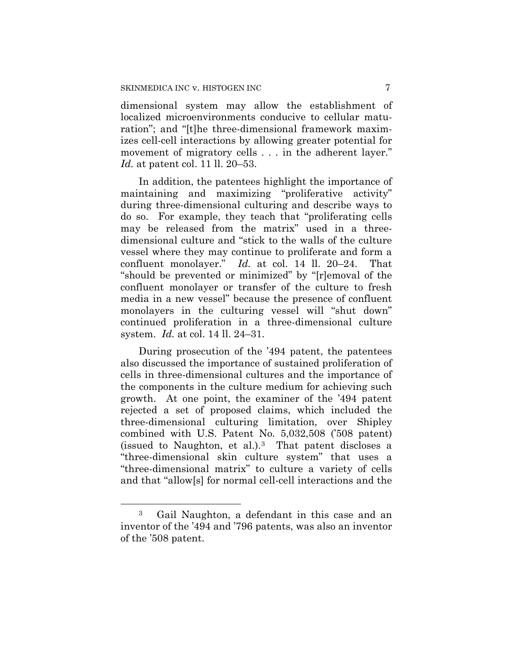dimensional system may allow the establishment of localized microenvironments conducive to cellular maturation"; and "[t]he three-dimensional framework maximizes cell-cell interactions by allowing greater potential for movement of migratory cells . . . in the adherent layer." *Id.* at patent col. 11 ll. 20–53.

In addition, the patentees highlight the importance of maintaining and maximizing "proliferative activity" during three-dimensional culturing and describe ways to do so. For example, they teach that "proliferating cells may be released from the matrix" used in a threedimensional culture and "stick to the walls of the culture vessel where they may continue to proliferate and form a confluent monolayer." *Id.* at col. 14 ll. 20–24. That "should be prevented or minimized" by "[r]emoval of the confluent monolayer or transfer of the culture to fresh media in a new vessel" because the presence of confluent monolayers in the culturing vessel will "shut down" continued proliferation in a three-dimensional culture system. *Id.* at col. 14 ll. 24–31.

During prosecution of the '494 patent, the patentees also discussed the importance of sustained proliferation of cells in three-dimensional cultures and the importance of the components in the culture medium for achieving such growth. At one point, the examiner of the '494 patent rejected a set of proposed claims, which included the three-dimensional culturing limitation, over Shipley combined with U.S. Patent No. 5,032,508 ('508 patent) (issued to Naughton, et al.).3 That patent discloses a "three-dimensional skin culture system" that uses a "three-dimensional matrix" to culture a variety of cells and that "allow[s] for normal cell-cell interactions and the

 $\overline{a}$ 

<sup>3</sup> Gail Naughton, a defendant in this case and an inventor of the '494 and '796 patents, was also an inventor of the '508 patent.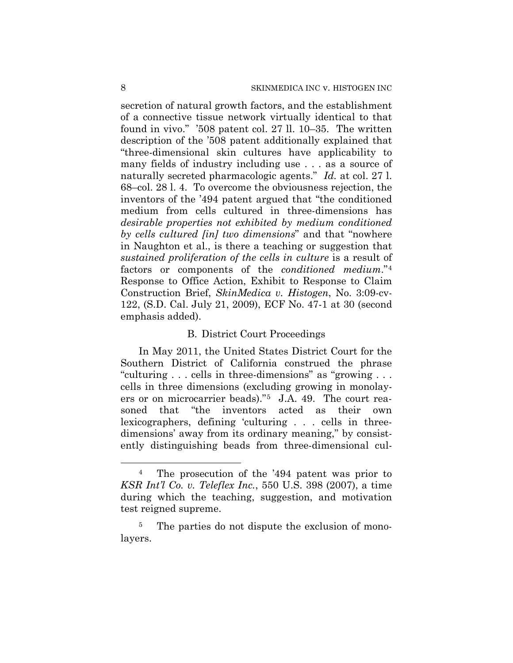secretion of natural growth factors, and the establishment of a connective tissue network virtually identical to that found in vivo." '508 patent col. 27 ll. 10–35. The written description of the '508 patent additionally explained that "three-dimensional skin cultures have applicability to many fields of industry including use . . . as a source of naturally secreted pharmacologic agents." *Id.* at col. 27 l. 68–col. 28 l. 4. To overcome the obviousness rejection, the inventors of the '494 patent argued that "the conditioned medium from cells cultured in three-dimensions has *desirable properties not exhibited by medium conditioned by cells cultured [in] two dimensions*" and that "nowhere in Naughton et al., is there a teaching or suggestion that *sustained proliferation of the cells in culture* is a result of factors or components of the *conditioned medium*."4 Response to Office Action, Exhibit to Response to Claim Construction Brief, *SkinMedica v. Histogen*, No. 3:09-cv-122, (S.D. Cal. July 21, 2009), ECF No. 47-1 at 30 (second emphasis added).

## B. District Court Proceedings

In May 2011, the United States District Court for the Southern District of California construed the phrase "culturing . . . cells in three-dimensions" as "growing . . . cells in three dimensions (excluding growing in monolayers or on microcarrier beads)."5 J.A. 49. The court reasoned that "the inventors acted as their own lexicographers, defining 'culturing . . . cells in threedimensions' away from its ordinary meaning," by consistently distinguishing beads from three-dimensional cul-

 $\overline{a}$ 

<sup>4</sup> The prosecution of the '494 patent was prior to *KSR Int'l Co. v. Teleflex Inc.*, 550 U.S. 398 (2007), a time during which the teaching, suggestion, and motivation test reigned supreme.

<sup>&</sup>lt;sup>5</sup> The parties do not dispute the exclusion of monolayers.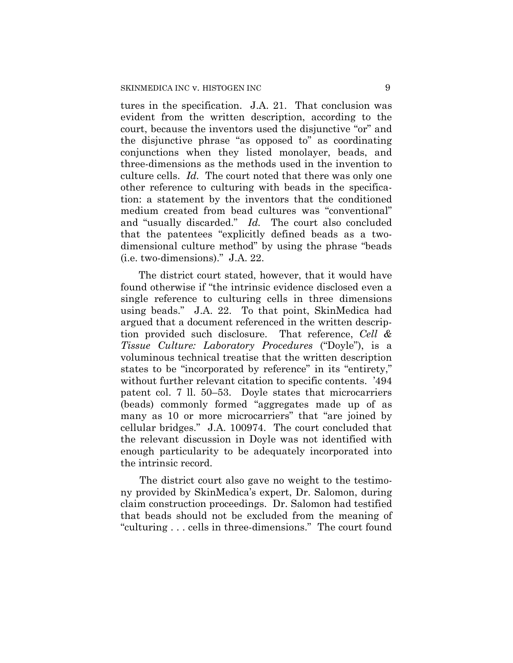tures in the specification. J.A. 21. That conclusion was evident from the written description, according to the court, because the inventors used the disjunctive "or" and the disjunctive phrase "as opposed to" as coordinating conjunctions when they listed monolayer, beads, and three-dimensions as the methods used in the invention to culture cells. *Id.* The court noted that there was only one other reference to culturing with beads in the specification: a statement by the inventors that the conditioned medium created from bead cultures was "conventional" and "usually discarded." *Id.* The court also concluded that the patentees "explicitly defined beads as a twodimensional culture method" by using the phrase "beads (i.e. two-dimensions)." J.A. 22.

The district court stated, however, that it would have found otherwise if "the intrinsic evidence disclosed even a single reference to culturing cells in three dimensions using beads." J.A. 22. To that point, SkinMedica had argued that a document referenced in the written description provided such disclosure. That reference, *Cell & Tissue Culture: Laboratory Procedures* ("Doyle"), is a voluminous technical treatise that the written description states to be "incorporated by reference" in its "entirety," without further relevant citation to specific contents. '494 patent col. 7 ll. 50–53. Doyle states that microcarriers (beads) commonly formed "aggregates made up of as many as 10 or more microcarriers" that "are joined by cellular bridges." J.A. 100974. The court concluded that the relevant discussion in Doyle was not identified with enough particularity to be adequately incorporated into the intrinsic record.

The district court also gave no weight to the testimony provided by SkinMedica's expert, Dr. Salomon, during claim construction proceedings. Dr. Salomon had testified that beads should not be excluded from the meaning of "culturing . . . cells in three-dimensions." The court found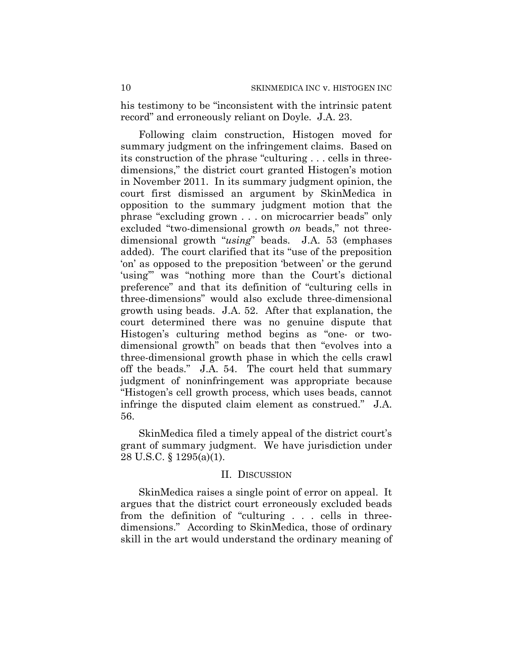his testimony to be "inconsistent with the intrinsic patent record" and erroneously reliant on Doyle. J.A. 23.

Following claim construction, Histogen moved for summary judgment on the infringement claims. Based on its construction of the phrase "culturing . . . cells in threedimensions," the district court granted Histogen's motion in November 2011. In its summary judgment opinion, the court first dismissed an argument by SkinMedica in opposition to the summary judgment motion that the phrase "excluding grown . . . on microcarrier beads" only excluded "two-dimensional growth *on* beads," not threedimensional growth "*using*" beads. J.A. 53 (emphases added). The court clarified that its "use of the preposition 'on' as opposed to the preposition 'between' or the gerund 'using'" was "nothing more than the Court's dictional preference" and that its definition of "culturing cells in three-dimensions" would also exclude three-dimensional growth using beads. J.A. 52. After that explanation, the court determined there was no genuine dispute that Histogen's culturing method begins as "one- or twodimensional growth" on beads that then "evolves into a three-dimensional growth phase in which the cells crawl off the beads." J.A. 54. The court held that summary judgment of noninfringement was appropriate because "Histogen's cell growth process, which uses beads, cannot infringe the disputed claim element as construed." J.A. 56.

SkinMedica filed a timely appeal of the district court's grant of summary judgment. We have jurisdiction under 28 U.S.C. § 1295(a)(1).

## II. DISCUSSION

SkinMedica raises a single point of error on appeal. It argues that the district court erroneously excluded beads from the definition of "culturing . . . cells in threedimensions." According to SkinMedica, those of ordinary skill in the art would understand the ordinary meaning of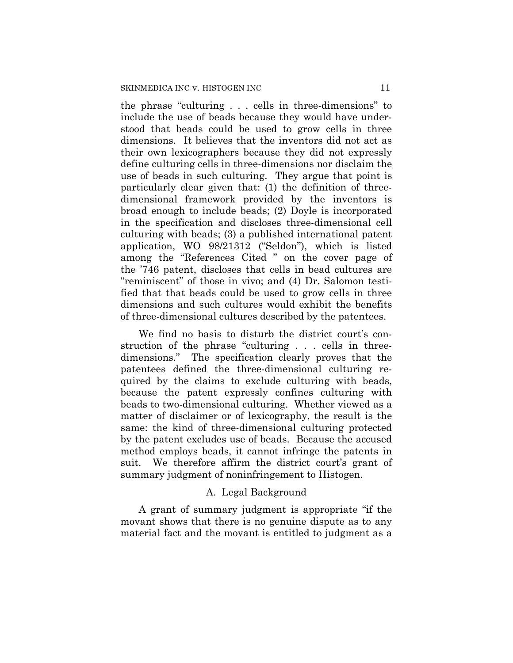the phrase "culturing . . . cells in three-dimensions" to include the use of beads because they would have understood that beads could be used to grow cells in three dimensions. It believes that the inventors did not act as their own lexicographers because they did not expressly define culturing cells in three-dimensions nor disclaim the use of beads in such culturing. They argue that point is particularly clear given that: (1) the definition of threedimensional framework provided by the inventors is broad enough to include beads; (2) Doyle is incorporated in the specification and discloses three-dimensional cell culturing with beads; (3) a published international patent application, WO 98/21312 ("Seldon"), which is listed among the "References Cited " on the cover page of the '746 patent, discloses that cells in bead cultures are "reminiscent" of those in vivo; and (4) Dr. Salomon testified that that beads could be used to grow cells in three dimensions and such cultures would exhibit the benefits of three-dimensional cultures described by the patentees.

We find no basis to disturb the district court's construction of the phrase "culturing . . . cells in threedimensions." The specification clearly proves that the patentees defined the three-dimensional culturing required by the claims to exclude culturing with beads, because the patent expressly confines culturing with beads to two-dimensional culturing. Whether viewed as a matter of disclaimer or of lexicography, the result is the same: the kind of three-dimensional culturing protected by the patent excludes use of beads. Because the accused method employs beads, it cannot infringe the patents in suit. We therefore affirm the district court's grant of summary judgment of noninfringement to Histogen.

## A. Legal Background

A grant of summary judgment is appropriate "if the movant shows that there is no genuine dispute as to any material fact and the movant is entitled to judgment as a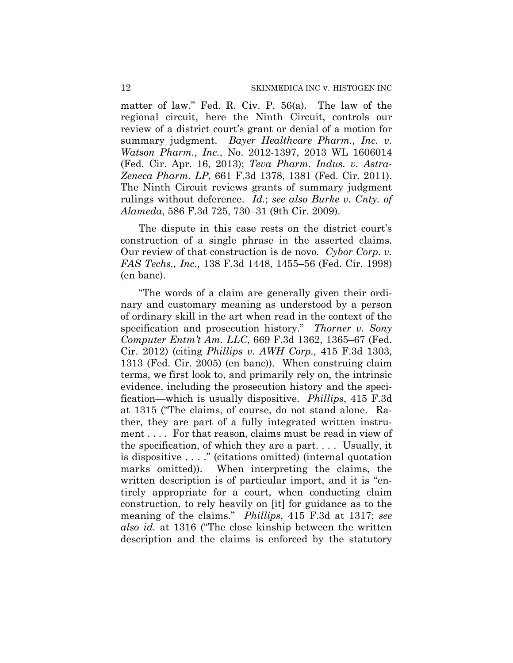matter of law." Fed. R. Civ. P. 56(a). The law of the regional circuit, here the Ninth Circuit, controls our review of a district court's grant or denial of a motion for summary judgment. *Bayer Healthcare Pharm., Inc. v. Watson Pharm., Inc.*, No. 2012-1397, 2013 WL 1606014 (Fed. Cir. Apr. 16, 2013); *Teva Pharm. Indus. v. Astra-Zeneca Pharm. LP*, 661 F.3d 1378, 1381 (Fed. Cir. 2011). The Ninth Circuit reviews grants of summary judgment rulings without deference. *Id.*; *see also Burke v. Cnty. of Alameda*, 586 F.3d 725, 730–31 (9th Cir. 2009).

The dispute in this case rests on the district court's construction of a single phrase in the asserted claims. Our review of that construction is de novo*. Cybor Corp. v. FAS Techs., Inc.,* 138 F.3d 1448, 1455–56 (Fed. Cir. 1998) (en banc).

"The words of a claim are generally given their ordinary and customary meaning as understood by a person of ordinary skill in the art when read in the context of the specification and prosecution history." *Thorner v. Sony Computer Entm't Am. LLC*, 669 F.3d 1362, 1365–67 (Fed. Cir. 2012) (citing *Phillips v. AWH Corp.,* 415 F.3d 1303, 1313 (Fed. Cir. 2005) (en banc)). When construing claim terms, we first look to, and primarily rely on, the intrinsic evidence, including the prosecution history and the specification—which is usually dispositive. *Phillips*, 415 F.3d at 1315 ("The claims, of course, do not stand alone. Rather, they are part of a fully integrated written instrument . . . . For that reason, claims must be read in view of the specification, of which they are a part. . . . Usually, it is dispositive . . . ." (citations omitted) (internal quotation marks omitted)). When interpreting the claims, the written description is of particular import, and it is "entirely appropriate for a court, when conducting claim construction, to rely heavily on [it] for guidance as to the meaning of the claims." *Phillips*, 415 F.3d at 1317; *see also id.* at 1316 ("The close kinship between the written description and the claims is enforced by the statutory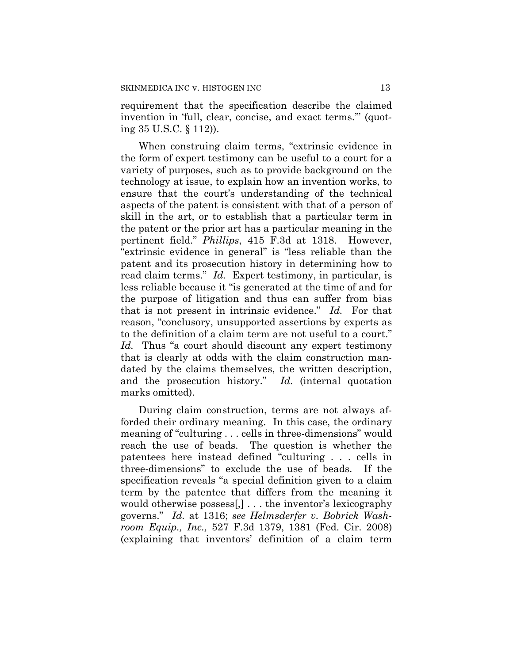requirement that the specification describe the claimed invention in 'full, clear, concise, and exact terms.'" (quoting 35 U.S.C. § 112)).

When construing claim terms, "extrinsic evidence in the form of expert testimony can be useful to a court for a variety of purposes, such as to provide background on the technology at issue, to explain how an invention works, to ensure that the court's understanding of the technical aspects of the patent is consistent with that of a person of skill in the art, or to establish that a particular term in the patent or the prior art has a particular meaning in the pertinent field." *Phillips*, 415 F.3d at 1318. However, "extrinsic evidence in general" is "less reliable than the patent and its prosecution history in determining how to read claim terms." *Id.* Expert testimony, in particular, is less reliable because it "is generated at the time of and for the purpose of litigation and thus can suffer from bias that is not present in intrinsic evidence." *Id.* For that reason, "conclusory, unsupported assertions by experts as to the definition of a claim term are not useful to a court." *Id.* Thus "a court should discount any expert testimony that is clearly at odds with the claim construction mandated by the claims themselves, the written description, and the prosecution history." *Id.* (internal quotation marks omitted).

During claim construction, terms are not always afforded their ordinary meaning. In this case, the ordinary meaning of "culturing . . . cells in three-dimensions" would reach the use of beads. The question is whether the patentees here instead defined "culturing . . . cells in three-dimensions" to exclude the use of beads. If the specification reveals "a special definition given to a claim term by the patentee that differs from the meaning it would otherwise possess[,] . . . the inventor's lexicography governs." *Id.* at 1316; *see Helmsderfer v. Bobrick Washroom Equip., Inc.,* 527 F.3d 1379, 1381 (Fed. Cir. 2008) (explaining that inventors' definition of a claim term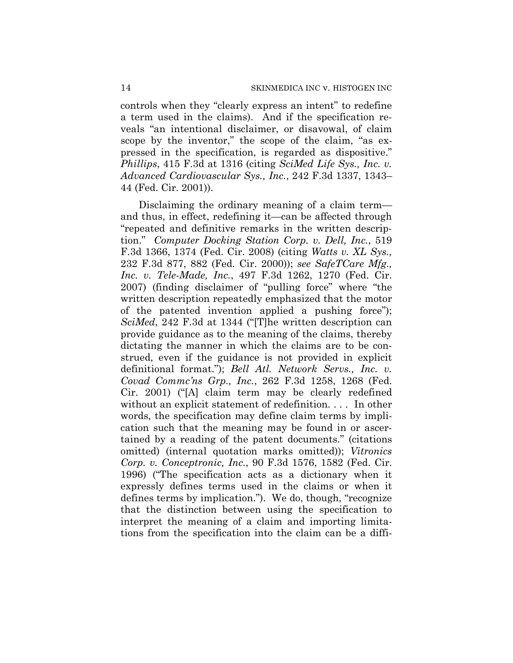controls when they "clearly express an intent" to redefine a term used in the claims). And if the specification reveals "an intentional disclaimer, or disavowal, of claim scope by the inventor," the scope of the claim, "as expressed in the specification, is regarded as dispositive." *Phillips*, 415 F.3d at 1316 (citing *SciMed Life Sys., Inc. v. Advanced Cardiovascular Sys., Inc.*, 242 F.3d 1337, 1343– 44 (Fed. Cir. 2001)).

Disclaiming the ordinary meaning of a claim term and thus, in effect, redefining it—can be affected through "repeated and definitive remarks in the written description." *Computer Docking Station Corp. v. Dell, Inc.*, 519 F.3d 1366, 1374 (Fed. Cir. 2008) (citing *Watts v. XL Sys.,* 232 F.3d 877, 882 (Fed. Cir. 2000)); *see SafeTCare Mfg., Inc. v. Tele-Made, Inc.*, 497 F.3d 1262, 1270 (Fed. Cir. 2007) (finding disclaimer of "pulling force" where "the written description repeatedly emphasized that the motor of the patented invention applied a pushing force"); *SciMed*, 242 F.3d at 1344 ("[T]he written description can provide guidance as to the meaning of the claims, thereby dictating the manner in which the claims are to be construed, even if the guidance is not provided in explicit definitional format."); *Bell Atl. Network Servs., Inc. v. Covad Commc'ns Grp., Inc.*, 262 F.3d 1258, 1268 (Fed. Cir. 2001) ("[A] claim term may be clearly redefined without an explicit statement of redefinition. . . . In other words, the specification may define claim terms by implication such that the meaning may be found in or ascertained by a reading of the patent documents." (citations omitted) (internal quotation marks omitted)); *Vitronics Corp. v. Conceptronic, Inc.*, 90 F.3d 1576, 1582 (Fed. Cir. 1996) ("The specification acts as a dictionary when it expressly defines terms used in the claims or when it defines terms by implication."). We do, though, "recognize that the distinction between using the specification to interpret the meaning of a claim and importing limitations from the specification into the claim can be a diffi-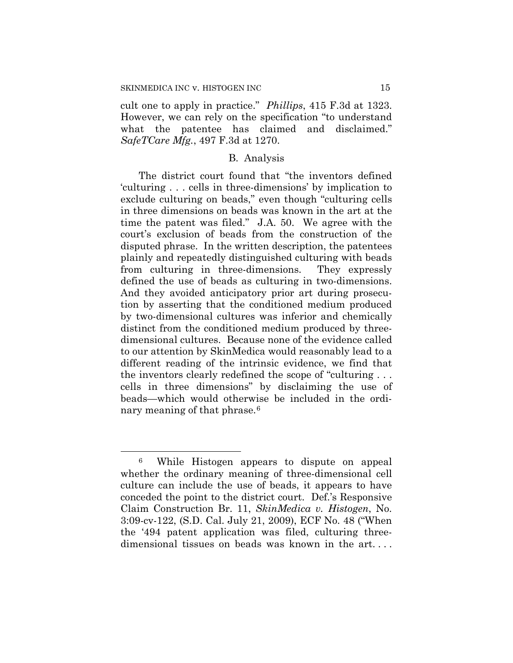$\overline{a}$ 

cult one to apply in practice." *Phillips*, 415 F.3d at 1323. However, we can rely on the specification "to understand what the patentee has claimed and disclaimed." *SafeTCare Mfg.*, 497 F.3d at 1270.

#### B. Analysis

The district court found that "the inventors defined 'culturing . . . cells in three-dimensions' by implication to exclude culturing on beads," even though "culturing cells in three dimensions on beads was known in the art at the time the patent was filed." J.A. 50. We agree with the court's exclusion of beads from the construction of the disputed phrase. In the written description, the patentees plainly and repeatedly distinguished culturing with beads from culturing in three-dimensions. They expressly defined the use of beads as culturing in two-dimensions. And they avoided anticipatory prior art during prosecution by asserting that the conditioned medium produced by two-dimensional cultures was inferior and chemically distinct from the conditioned medium produced by threedimensional cultures. Because none of the evidence called to our attention by SkinMedica would reasonably lead to a different reading of the intrinsic evidence, we find that the inventors clearly redefined the scope of "culturing . . . cells in three dimensions" by disclaiming the use of beads—which would otherwise be included in the ordinary meaning of that phrase.<sup>6</sup>

<sup>6</sup> While Histogen appears to dispute on appeal whether the ordinary meaning of three-dimensional cell culture can include the use of beads, it appears to have conceded the point to the district court. Def.'s Responsive Claim Construction Br. 11, *SkinMedica v. Histogen*, No. 3:09-cv-122, (S.D. Cal. July 21, 2009), ECF No. 48 ("When the '494 patent application was filed, culturing threedimensional tissues on beads was known in the art. . . .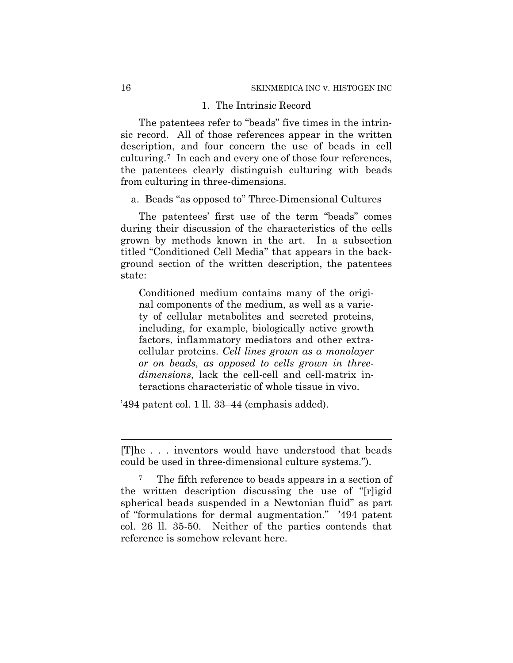## 1. The Intrinsic Record

The patentees refer to "beads" five times in the intrinsic record. All of those references appear in the written description, and four concern the use of beads in cell culturing.7 In each and every one of those four references, the patentees clearly distinguish culturing with beads from culturing in three-dimensions.

a. Beads "as opposed to" Three-Dimensional Cultures

The patentees' first use of the term "beads" comes during their discussion of the characteristics of the cells grown by methods known in the art. In a subsection titled "Conditioned Cell Media" that appears in the background section of the written description, the patentees state:

Conditioned medium contains many of the original components of the medium, as well as a variety of cellular metabolites and secreted proteins, including, for example, biologically active growth factors, inflammatory mediators and other extracellular proteins. *Cell lines grown as a monolayer or on beads, as opposed to cells grown in threedimensions*, lack the cell-cell and cell-matrix interactions characteristic of whole tissue in vivo.

'494 patent col. 1 ll. 33–44 (emphasis added).

 $\overline{a}$ 

<sup>[</sup>T]he . . . inventors would have understood that beads could be used in three-dimensional culture systems.").

<sup>7</sup> The fifth reference to beads appears in a section of the written description discussing the use of "[r]igid spherical beads suspended in a Newtonian fluid" as part of "formulations for dermal augmentation." '494 patent col. 26 ll. 35-50. Neither of the parties contends that reference is somehow relevant here.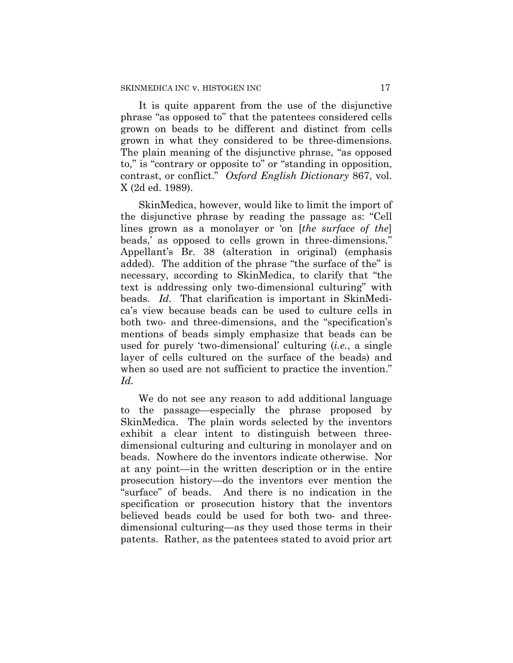It is quite apparent from the use of the disjunctive phrase "as opposed to" that the patentees considered cells grown on beads to be different and distinct from cells grown in what they considered to be three-dimensions. The plain meaning of the disjunctive phrase, "as opposed to," is "contrary or opposite to" or "standing in opposition, contrast, or conflict." *Oxford English Dictionary* 867, vol. X (2d ed. 1989).

SkinMedica, however, would like to limit the import of the disjunctive phrase by reading the passage as: "Cell lines grown as a monolayer or 'on [*the surface of the*] beads,' as opposed to cells grown in three-dimensions." Appellant's Br. 38 (alteration in original) (emphasis added). The addition of the phrase "the surface of the" is necessary, according to SkinMedica, to clarify that "the text is addressing only two-dimensional culturing" with beads. *Id.* That clarification is important in SkinMedica's view because beads can be used to culture cells in both two- and three-dimensions, and the "specification's mentions of beads simply emphasize that beads can be used for purely 'two-dimensional' culturing (*i.e.*, a single layer of cells cultured on the surface of the beads) and when so used are not sufficient to practice the invention." *Id.*

We do not see any reason to add additional language to the passage—especially the phrase proposed by SkinMedica. The plain words selected by the inventors exhibit a clear intent to distinguish between threedimensional culturing and culturing in monolayer and on beads. Nowhere do the inventors indicate otherwise. Nor at any point—in the written description or in the entire prosecution history—do the inventors ever mention the "surface" of beads. And there is no indication in the specification or prosecution history that the inventors believed beads could be used for both two- and threedimensional culturing—as they used those terms in their patents. Rather, as the patentees stated to avoid prior art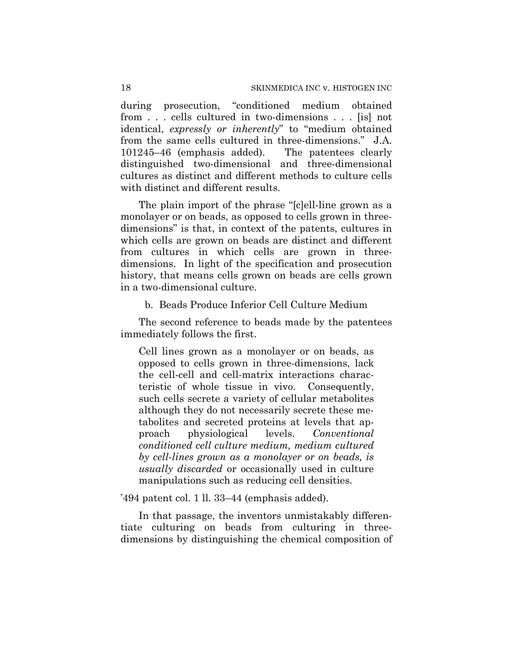during prosecution, "conditioned medium obtained from . . . cells cultured in two-dimensions . . . [is] not identical, *expressly or inherently*" to "medium obtained from the same cells cultured in three-dimensions." J.A. 101245–46 (emphasis added). The patentees clearly distinguished two-dimensional and three-dimensional cultures as distinct and different methods to culture cells with distinct and different results.

The plain import of the phrase "[c]ell-line grown as a monolayer or on beads, as opposed to cells grown in threedimensions" is that, in context of the patents, cultures in which cells are grown on beads are distinct and different from cultures in which cells are grown in threedimensions. In light of the specification and prosecution history, that means cells grown on beads are cells grown in a two-dimensional culture.

## b. Beads Produce Inferior Cell Culture Medium

The second reference to beads made by the patentees immediately follows the first.

Cell lines grown as a monolayer or on beads, as opposed to cells grown in three-dimensions, lack the cell-cell and cell-matrix interactions characteristic of whole tissue in vivo. Consequently, such cells secrete a variety of cellular metabolites although they do not necessarily secrete these metabolites and secreted proteins at levels that approach physiological levels. *Conventional conditioned cell culture medium, medium cultured by cell-lines grown as a monolayer or on beads, is usually discarded* or occasionally used in culture manipulations such as reducing cell densities.

#### '494 patent col. 1 ll. 33–44 (emphasis added).

In that passage, the inventors unmistakably differentiate culturing on beads from culturing in threedimensions by distinguishing the chemical composition of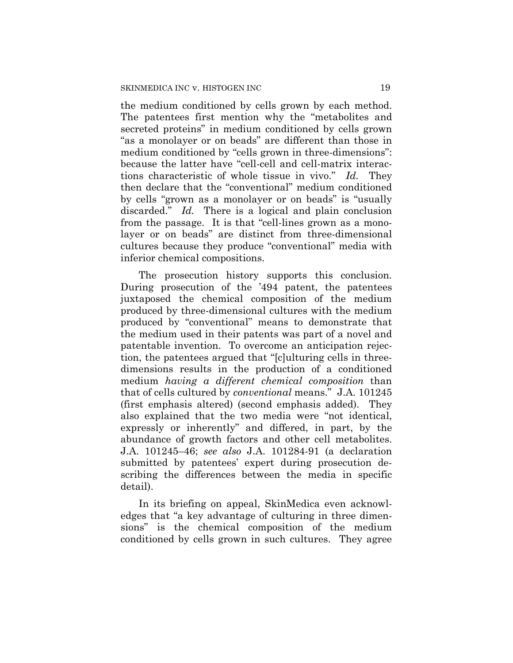the medium conditioned by cells grown by each method. The patentees first mention why the "metabolites and secreted proteins" in medium conditioned by cells grown "as a monolayer or on beads" are different than those in medium conditioned by "cells grown in three-dimensions": because the latter have "cell-cell and cell-matrix interactions characteristic of whole tissue in vivo." *Id.* They then declare that the "conventional" medium conditioned by cells "grown as a monolayer or on beads" is "usually discarded." *Id.* There is a logical and plain conclusion from the passage. It is that "cell-lines grown as a monolayer or on beads" are distinct from three-dimensional cultures because they produce "conventional" media with inferior chemical compositions.

The prosecution history supports this conclusion. During prosecution of the '494 patent, the patentees juxtaposed the chemical composition of the medium produced by three-dimensional cultures with the medium produced by "conventional" means to demonstrate that the medium used in their patents was part of a novel and patentable invention. To overcome an anticipation rejection, the patentees argued that "[c]ulturing cells in threedimensions results in the production of a conditioned medium *having a different chemical composition* than that of cells cultured by *conventional* means." J.A. 101245 (first emphasis altered) (second emphasis added). They also explained that the two media were "not identical, expressly or inherently" and differed, in part, by the abundance of growth factors and other cell metabolites. J.A. 101245–46; *see also* J.A. 101284-91 (a declaration submitted by patentees' expert during prosecution describing the differences between the media in specific detail).

In its briefing on appeal, SkinMedica even acknowledges that "a key advantage of culturing in three dimensions" is the chemical composition of the medium conditioned by cells grown in such cultures. They agree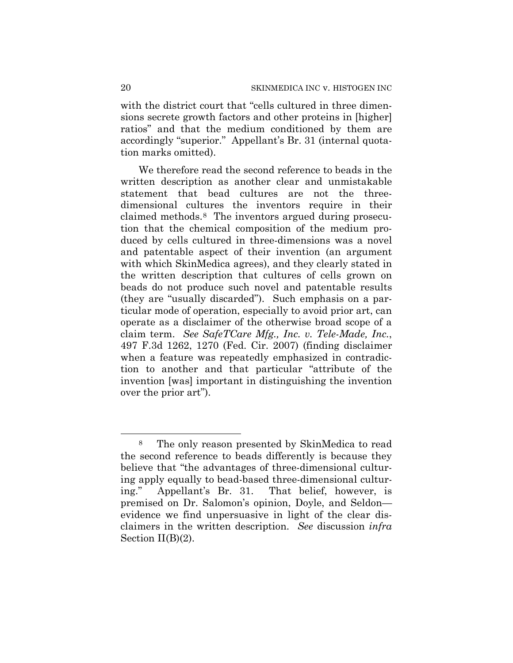with the district court that "cells cultured in three dimensions secrete growth factors and other proteins in [higher] ratios" and that the medium conditioned by them are accordingly "superior." Appellant's Br. 31 (internal quotation marks omitted).

We therefore read the second reference to beads in the written description as another clear and unmistakable statement that bead cultures are not the threedimensional cultures the inventors require in their claimed methods.8 The inventors argued during prosecution that the chemical composition of the medium produced by cells cultured in three-dimensions was a novel and patentable aspect of their invention (an argument with which SkinMedica agrees), and they clearly stated in the written description that cultures of cells grown on beads do not produce such novel and patentable results (they are "usually discarded"). Such emphasis on a particular mode of operation, especially to avoid prior art, can operate as a disclaimer of the otherwise broad scope of a claim term. *See SafeTCare Mfg., Inc. v. Tele-Made, Inc.*, 497 F.3d 1262, 1270 (Fed. Cir. 2007) (finding disclaimer when a feature was repeatedly emphasized in contradiction to another and that particular "attribute of the invention [was] important in distinguishing the invention over the prior art").

 $\overline{a}$ 

<sup>8</sup> The only reason presented by SkinMedica to read the second reference to beads differently is because they believe that "the advantages of three-dimensional culturing apply equally to bead-based three-dimensional culturing." Appellant's Br. 31. That belief, however, is premised on Dr. Salomon's opinion, Doyle, and Seldon evidence we find unpersuasive in light of the clear disclaimers in the written description. *See* discussion *infra* Section  $II(B)(2)$ .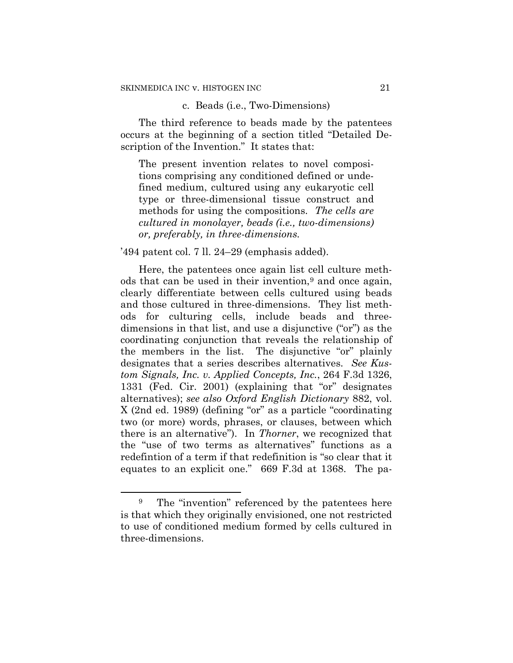## c. Beads (i.e., Two-Dimensions)

The third reference to beads made by the patentees occurs at the beginning of a section titled "Detailed Description of the Invention." It states that:

The present invention relates to novel compositions comprising any conditioned defined or undefined medium, cultured using any eukaryotic cell type or three-dimensional tissue construct and methods for using the compositions. *The cells are cultured in monolayer, beads (i.e., two-dimensions) or, preferably, in three-dimensions.*

#### '494 patent col. 7 ll. 24–29 (emphasis added).

Here, the patentees once again list cell culture methods that can be used in their invention,<sup>9</sup> and once again, clearly differentiate between cells cultured using beads and those cultured in three-dimensions. They list methods for culturing cells, include beads and threedimensions in that list, and use a disjunctive ("or") as the coordinating conjunction that reveals the relationship of the members in the list. The disjunctive "or" plainly designates that a series describes alternatives. *See Kustom Signals, Inc. v. Applied Concepts, Inc.*, 264 F.3d 1326, 1331 (Fed. Cir. 2001) (explaining that "or" designates alternatives); *see also Oxford English Dictionary* 882, vol. X (2nd ed. 1989) (defining "or" as a particle "coordinating two (or more) words, phrases, or clauses, between which there is an alternative"). In *Thorner*, we recognized that the "use of two terms as alternatives" functions as a redefintion of a term if that redefinition is "so clear that it equates to an explicit one." 669 F.3d at 1368. The pa-

 $\overline{a}$ 

<sup>&</sup>lt;sup>9</sup> The "invention" referenced by the patentees here is that which they originally envisioned, one not restricted to use of conditioned medium formed by cells cultured in three-dimensions.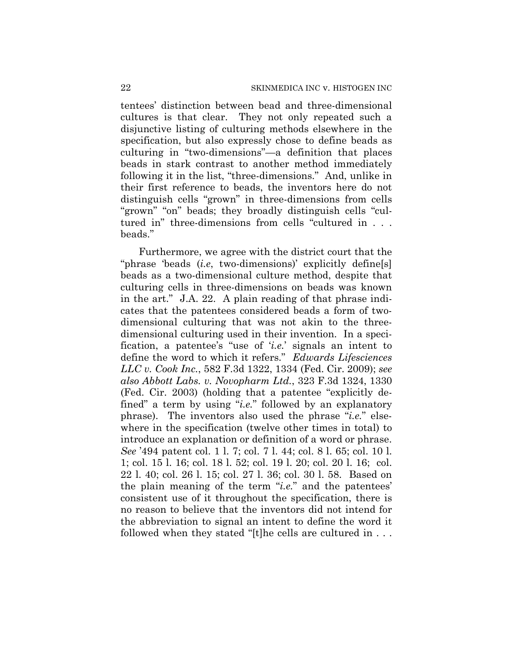tentees' distinction between bead and three-dimensional cultures is that clear. They not only repeated such a disjunctive listing of culturing methods elsewhere in the specification, but also expressly chose to define beads as culturing in "two-dimensions"—a definition that places beads in stark contrast to another method immediately following it in the list, "three-dimensions." And, unlike in their first reference to beads, the inventors here do not distinguish cells "grown" in three-dimensions from cells "grown" "on" beads; they broadly distinguish cells "cultured in" three-dimensions from cells "cultured in . . . beads."

Furthermore, we agree with the district court that the "phrase 'beads (*i.e*, two-dimensions)' explicitly define[s] beads as a two-dimensional culture method, despite that culturing cells in three-dimensions on beads was known in the art." J.A. 22. A plain reading of that phrase indicates that the patentees considered beads a form of twodimensional culturing that was not akin to the threedimensional culturing used in their invention. In a specification, a patentee's "use of '*i.e.*' signals an intent to define the word to which it refers." *Edwards Lifesciences LLC v. Cook Inc.*, 582 F.3d 1322, 1334 (Fed. Cir. 2009); *see also Abbott Labs. v. Novopharm Ltd.*, 323 F.3d 1324, 1330 (Fed. Cir. 2003) (holding that a patentee "explicitly defined" a term by using "*i.e.*" followed by an explanatory phrase). The inventors also used the phrase "*i.e.*" elsewhere in the specification (twelve other times in total) to introduce an explanation or definition of a word or phrase. *See* '494 patent col. 1 l. 7; col. 7 l. 44; col. 8 l. 65; col. 10 l. 1; col. 15 l. 16; col. 18 l. 52; col. 19 l. 20; col. 20 l. 16; col. 22 l. 40; col. 26 l. 15; col. 27 l. 36; col. 30 l. 58. Based on the plain meaning of the term "*i.e.*" and the patentees' consistent use of it throughout the specification, there is no reason to believe that the inventors did not intend for the abbreviation to signal an intent to define the word it followed when they stated "[t]he cells are cultured in . . .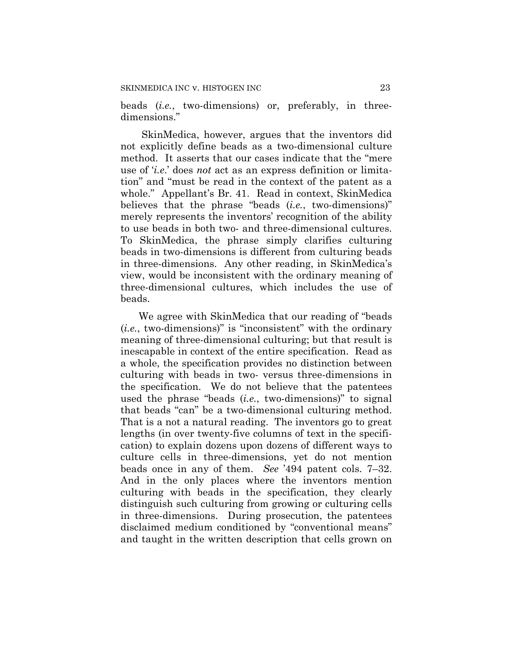beads (*i.e.*, two-dimensions) or, preferably, in threedimensions."

SkinMedica, however, argues that the inventors did not explicitly define beads as a two-dimensional culture method. It asserts that our cases indicate that the "mere use of '*i.e*.' does *not* act as an express definition or limitation" and "must be read in the context of the patent as a whole." Appellant's Br. 41. Read in context, SkinMedica believes that the phrase "beads (*i.e.*, two-dimensions)" merely represents the inventors' recognition of the ability to use beads in both two- and three-dimensional cultures. To SkinMedica, the phrase simply clarifies culturing beads in two-dimensions is different from culturing beads in three-dimensions. Any other reading, in SkinMedica's view, would be inconsistent with the ordinary meaning of three-dimensional cultures, which includes the use of beads.

We agree with SkinMedica that our reading of "beads (*i.e.*, two-dimensions)" is "inconsistent" with the ordinary meaning of three-dimensional culturing; but that result is inescapable in context of the entire specification. Read as a whole, the specification provides no distinction between culturing with beads in two- versus three-dimensions in the specification. We do not believe that the patentees used the phrase "beads (*i.e.*, two-dimensions)" to signal that beads "can" be a two-dimensional culturing method. That is a not a natural reading. The inventors go to great lengths (in over twenty-five columns of text in the specification) to explain dozens upon dozens of different ways to culture cells in three-dimensions, yet do not mention beads once in any of them. *See* '494 patent cols. 7–32. And in the only places where the inventors mention culturing with beads in the specification, they clearly distinguish such culturing from growing or culturing cells in three-dimensions. During prosecution, the patentees disclaimed medium conditioned by "conventional means" and taught in the written description that cells grown on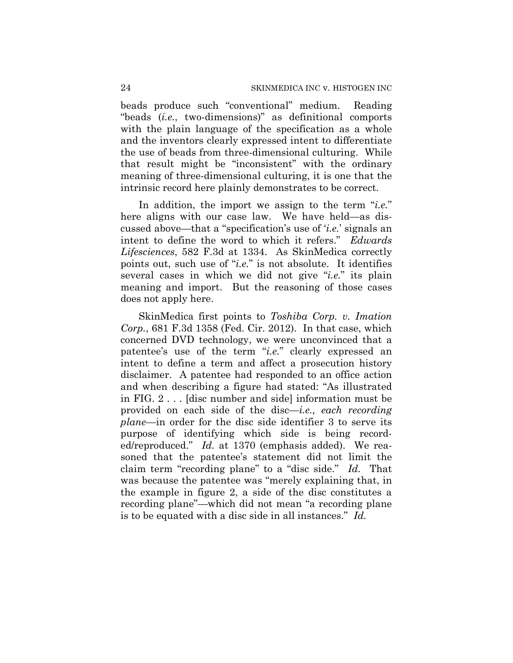beads produce such "conventional" medium. Reading "beads (*i.e.*, two-dimensions)" as definitional comports with the plain language of the specification as a whole and the inventors clearly expressed intent to differentiate the use of beads from three-dimensional culturing. While that result might be "inconsistent" with the ordinary meaning of three-dimensional culturing, it is one that the intrinsic record here plainly demonstrates to be correct.

In addition, the import we assign to the term "*i.e.*" here aligns with our case law. We have held—as discussed above—that a "specification's use of '*i.e.*' signals an intent to define the word to which it refers." *Edwards Lifesciences*, 582 F.3d at 1334. As SkinMedica correctly points out, such use of "*i.e.*" is not absolute. It identifies several cases in which we did not give "*i.e.*" its plain meaning and import. But the reasoning of those cases does not apply here.

SkinMedica first points to *Toshiba Corp. v. Imation Corp.*, 681 F.3d 1358 (Fed. Cir. 2012). In that case, which concerned DVD technology, we were unconvinced that a patentee's use of the term "*i.e.*" clearly expressed an intent to define a term and affect a prosecution history disclaimer. A patentee had responded to an office action and when describing a figure had stated: "As illustrated in FIG. 2 . . . [disc number and side] information must be provided on each side of the disc—*i.e., each recording plane*—in order for the disc side identifier 3 to serve its purpose of identifying which side is being recorded/reproduced." *Id.* at 1370 (emphasis added). We reasoned that the patentee's statement did not limit the claim term "recording plane" to a "disc side." *Id.* That was because the patentee was "merely explaining that, in the example in figure 2, a side of the disc constitutes a recording plane"—which did not mean "a recording plane is to be equated with a disc side in all instances." *Id.*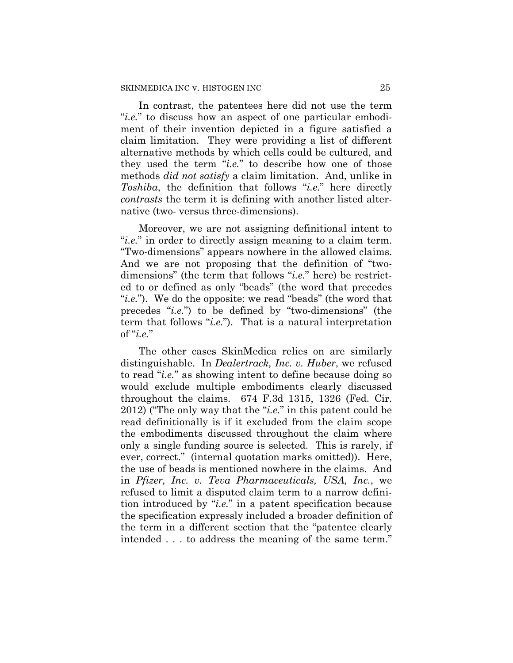In contrast, the patentees here did not use the term "*i.e.*" to discuss how an aspect of one particular embodiment of their invention depicted in a figure satisfied a claim limitation. They were providing a list of different alternative methods by which cells could be cultured, and they used the term "*i.e.*" to describe how one of those methods *did not satisfy* a claim limitation. And, unlike in *Toshiba*, the definition that follows "*i.e.*" here directly *contrasts* the term it is defining with another listed alternative (two- versus three-dimensions).

Moreover, we are not assigning definitional intent to "*i.e.*" in order to directly assign meaning to a claim term. "Two-dimensions" appears nowhere in the allowed claims. And we are not proposing that the definition of "twodimensions" (the term that follows "*i.e.*" here) be restricted to or defined as only "beads" (the word that precedes "*i.e.*"). We do the opposite: we read "beads" (the word that precedes "*i.e.*") to be defined by "two-dimensions" (the term that follows "*i.e.*"). That is a natural interpretation of "*i.e.*"

The other cases SkinMedica relies on are similarly distinguishable. In *Dealertrack, Inc. v. Huber*, we refused to read "*i.e.*" as showing intent to define because doing so would exclude multiple embodiments clearly discussed throughout the claims. 674 F.3d 1315, 1326 (Fed. Cir. 2012) ("The only way that the "*i.e.*" in this patent could be read definitionally is if it excluded from the claim scope the embodiments discussed throughout the claim where only a single funding source is selected. This is rarely, if ever, correct." (internal quotation marks omitted)). Here, the use of beads is mentioned nowhere in the claims. And in *Pfizer, Inc. v. Teva Pharmaceuticals, USA, Inc.*, we refused to limit a disputed claim term to a narrow definition introduced by "*i.e.*" in a patent specification because the specification expressly included a broader definition of the term in a different section that the "patentee clearly intended . . . to address the meaning of the same term."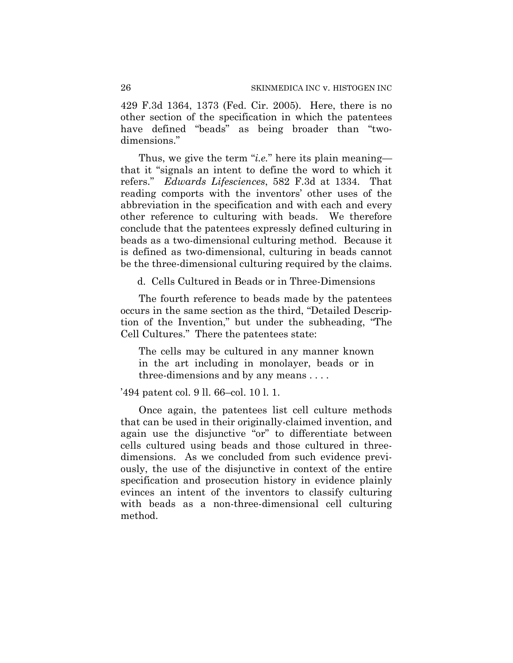429 F.3d 1364, 1373 (Fed. Cir. 2005). Here, there is no other section of the specification in which the patentees have defined "beads" as being broader than "twodimensions."

Thus, we give the term "*i.e.*" here its plain meaning that it "signals an intent to define the word to which it refers." *Edwards Lifesciences*, 582 F.3d at 1334. That reading comports with the inventors' other uses of the abbreviation in the specification and with each and every other reference to culturing with beads. We therefore conclude that the patentees expressly defined culturing in beads as a two-dimensional culturing method. Because it is defined as two-dimensional, culturing in beads cannot be the three-dimensional culturing required by the claims.

d. Cells Cultured in Beads or in Three-Dimensions

The fourth reference to beads made by the patentees occurs in the same section as the third, "Detailed Description of the Invention," but under the subheading, "The Cell Cultures." There the patentees state:

The cells may be cultured in any manner known in the art including in monolayer, beads or in three-dimensions and by any means . . . .

'494 patent col. 9 ll. 66–col. 10 l. 1.

Once again, the patentees list cell culture methods that can be used in their originally-claimed invention, and again use the disjunctive "or" to differentiate between cells cultured using beads and those cultured in threedimensions. As we concluded from such evidence previously, the use of the disjunctive in context of the entire specification and prosecution history in evidence plainly evinces an intent of the inventors to classify culturing with beads as a non-three-dimensional cell culturing method.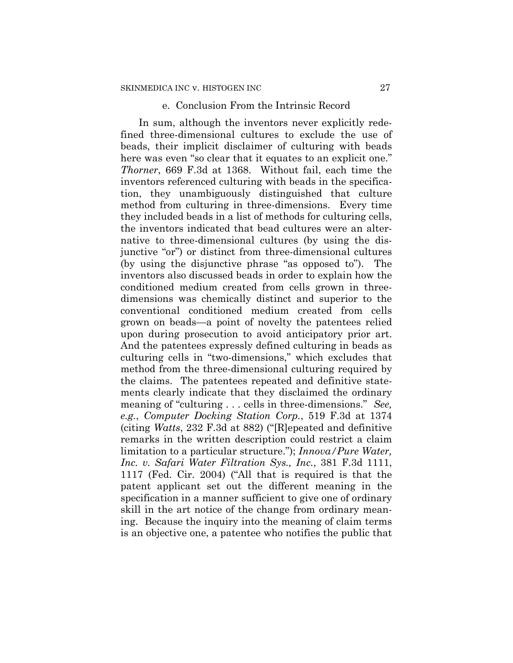#### e. Conclusion From the Intrinsic Record

In sum, although the inventors never explicitly redefined three-dimensional cultures to exclude the use of beads, their implicit disclaimer of culturing with beads here was even "so clear that it equates to an explicit one." *Thorner*, 669 F.3d at 1368. Without fail, each time the inventors referenced culturing with beads in the specification, they unambiguously distinguished that culture method from culturing in three-dimensions. Every time they included beads in a list of methods for culturing cells, the inventors indicated that bead cultures were an alternative to three-dimensional cultures (by using the disjunctive "or") or distinct from three-dimensional cultures (by using the disjunctive phrase "as opposed to"). The inventors also discussed beads in order to explain how the conditioned medium created from cells grown in threedimensions was chemically distinct and superior to the conventional conditioned medium created from cells grown on beads—a point of novelty the patentees relied upon during prosecution to avoid anticipatory prior art. And the patentees expressly defined culturing in beads as culturing cells in "two-dimensions," which excludes that method from the three-dimensional culturing required by the claims. The patentees repeated and definitive statements clearly indicate that they disclaimed the ordinary meaning of "culturing . . . cells in three-dimensions." *See, e.g.*, *Computer Docking Station Corp.*, 519 F.3d at 1374 (citing *Watts*, 232 F.3d at 882) ("[R]epeated and definitive remarks in the written description could restrict a claim limitation to a particular structure."); *Innova/Pure Water, Inc. v. Safari Water Filtration Sys., Inc.*, 381 F.3d 1111, 1117 (Fed. Cir. 2004) ("All that is required is that the patent applicant set out the different meaning in the specification in a manner sufficient to give one of ordinary skill in the art notice of the change from ordinary meaning. Because the inquiry into the meaning of claim terms is an objective one, a patentee who notifies the public that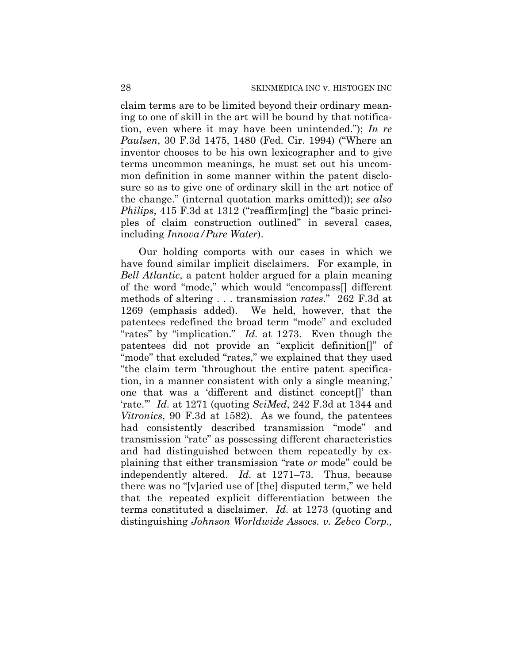claim terms are to be limited beyond their ordinary meaning to one of skill in the art will be bound by that notification, even where it may have been unintended."); *In re Paulsen*, 30 F.3d 1475, 1480 (Fed. Cir. 1994) ("Where an inventor chooses to be his own lexicographer and to give terms uncommon meanings, he must set out his uncommon definition in some manner within the patent disclosure so as to give one of ordinary skill in the art notice of the change." (internal quotation marks omitted)); *see also Philips*, 415 F.3d at 1312 ("reaffirm[ing] the "basic principles of claim construction outlined" in several cases, including *Innova/Pure Water*).

Our holding comports with our cases in which we have found similar implicit disclaimers. For example, in *Bell Atlantic*, a patent holder argued for a plain meaning of the word "mode," which would "encompass[] different methods of altering . . . transmission *rates*." 262 F.3d at 1269 (emphasis added). We held, however, that the patentees redefined the broad term "mode" and excluded "rates" by "implication." *Id.* at 1273. Even though the patentees did not provide an "explicit definition[]" of "mode" that excluded "rates," we explained that they used "the claim term 'throughout the entire patent specification, in a manner consistent with only a single meaning,' one that was a 'different and distinct concept[]' than 'rate.'" *Id.* at 1271 (quoting *SciMed*, 242 F.3d at 1344 and *Vitronics*, 90 F.3d at 1582). As we found, the patentees had consistently described transmission "mode" and transmission "rate" as possessing different characteristics and had distinguished between them repeatedly by explaining that either transmission "rate *or* mode" could be independently altered. *Id.* at 1271–73. Thus, because there was no "[v]aried use of [the] disputed term," we held that the repeated explicit differentiation between the terms constituted a disclaimer. *Id.* at 1273 (quoting and distinguishing *Johnson Worldwide Assocs. v. Zebco Corp.,*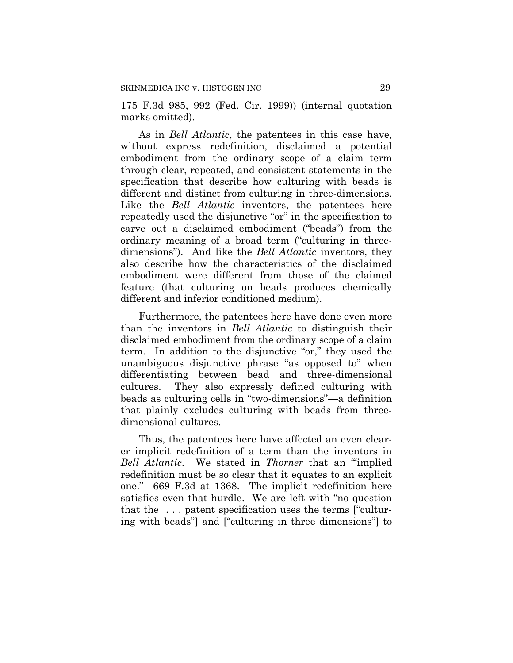175 F.3d 985, 992 (Fed. Cir. 1999)) (internal quotation marks omitted).

As in *Bell Atlantic*, the patentees in this case have, without express redefinition, disclaimed a potential embodiment from the ordinary scope of a claim term through clear, repeated, and consistent statements in the specification that describe how culturing with beads is different and distinct from culturing in three-dimensions. Like the *Bell Atlantic* inventors, the patentees here repeatedly used the disjunctive "or" in the specification to carve out a disclaimed embodiment ("beads") from the ordinary meaning of a broad term ("culturing in threedimensions"). And like the *Bell Atlantic* inventors, they also describe how the characteristics of the disclaimed embodiment were different from those of the claimed feature (that culturing on beads produces chemically different and inferior conditioned medium).

Furthermore, the patentees here have done even more than the inventors in *Bell Atlantic* to distinguish their disclaimed embodiment from the ordinary scope of a claim term. In addition to the disjunctive "or," they used the unambiguous disjunctive phrase "as opposed to" when differentiating between bead and three-dimensional cultures. They also expressly defined culturing with beads as culturing cells in "two-dimensions"—a definition that plainly excludes culturing with beads from threedimensional cultures.

Thus, the patentees here have affected an even clearer implicit redefinition of a term than the inventors in *Bell Atlantic*. We stated in *Thorner* that an "'implied redefinition must be so clear that it equates to an explicit one." 669 F.3d at 1368. The implicit redefinition here satisfies even that hurdle. We are left with "no question that the . . . patent specification uses the terms ["culturing with beads"] and ["culturing in three dimensions"] to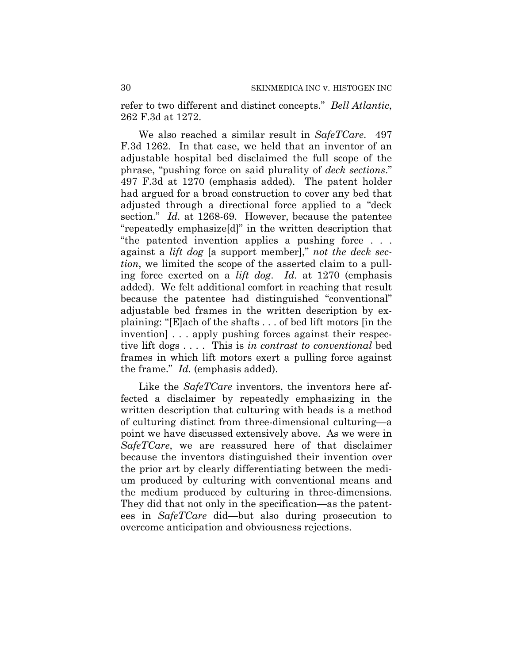refer to two different and distinct concepts." *Bell Atlantic*, 262 F.3d at 1272.

We also reached a similar result in *SafeTCare*. 497 F.3d 1262. In that case, we held that an inventor of an adjustable hospital bed disclaimed the full scope of the phrase, "pushing force on said plurality of *deck sections*." 497 F.3d at 1270 (emphasis added). The patent holder had argued for a broad construction to cover any bed that adjusted through a directional force applied to a "deck section." *Id.* at 1268-69. However, because the patentee "repeatedly emphasize[d]" in the written description that "the patented invention applies a pushing force . . . against a *lift dog* [a support member]," *not the deck section*, we limited the scope of the asserted claim to a pulling force exerted on a *lift dog*. *Id.* at 1270 (emphasis added). We felt additional comfort in reaching that result because the patentee had distinguished "conventional" adjustable bed frames in the written description by explaining: "[E]ach of the shafts . . . of bed lift motors [in the invention  $\ldots$  apply pushing forces against their respective lift dogs . . . . This is *in contrast to conventional* bed frames in which lift motors exert a pulling force against the frame." *Id.* (emphasis added).

Like the *SafeTCare* inventors, the inventors here affected a disclaimer by repeatedly emphasizing in the written description that culturing with beads is a method of culturing distinct from three-dimensional culturing—a point we have discussed extensively above. As we were in *SafeTCare*, we are reassured here of that disclaimer because the inventors distinguished their invention over the prior art by clearly differentiating between the medium produced by culturing with conventional means and the medium produced by culturing in three-dimensions. They did that not only in the specification—as the patentees in *SafeTCare* did—but also during prosecution to overcome anticipation and obviousness rejections.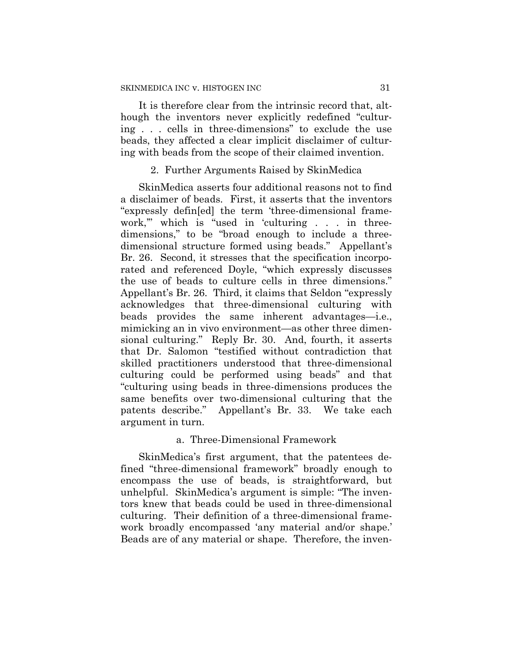It is therefore clear from the intrinsic record that, although the inventors never explicitly redefined "culturing . . . cells in three-dimensions" to exclude the use beads, they affected a clear implicit disclaimer of culturing with beads from the scope of their claimed invention.

## 2. Further Arguments Raised by SkinMedica

SkinMedica asserts four additional reasons not to find a disclaimer of beads. First, it asserts that the inventors "expressly defin[ed] the term 'three-dimensional framework,'" which is "used in 'culturing . . . in threedimensions," to be "broad enough to include a threedimensional structure formed using beads." Appellant's Br. 26. Second, it stresses that the specification incorporated and referenced Doyle, "which expressly discusses the use of beads to culture cells in three dimensions." Appellant's Br. 26. Third, it claims that Seldon "expressly acknowledges that three-dimensional culturing with beads provides the same inherent advantages—i.e., mimicking an in vivo environment—as other three dimensional culturing." Reply Br. 30. And, fourth, it asserts that Dr. Salomon "testified without contradiction that skilled practitioners understood that three-dimensional culturing could be performed using beads" and that "culturing using beads in three-dimensions produces the same benefits over two-dimensional culturing that the patents describe." Appellant's Br. 33. We take each argument in turn.

## a. Three-Dimensional Framework

SkinMedica's first argument, that the patentees defined "three-dimensional framework" broadly enough to encompass the use of beads, is straightforward, but unhelpful. SkinMedica's argument is simple: "The inventors knew that beads could be used in three-dimensional culturing. Their definition of a three-dimensional framework broadly encompassed 'any material and/or shape.' Beads are of any material or shape. Therefore, the inven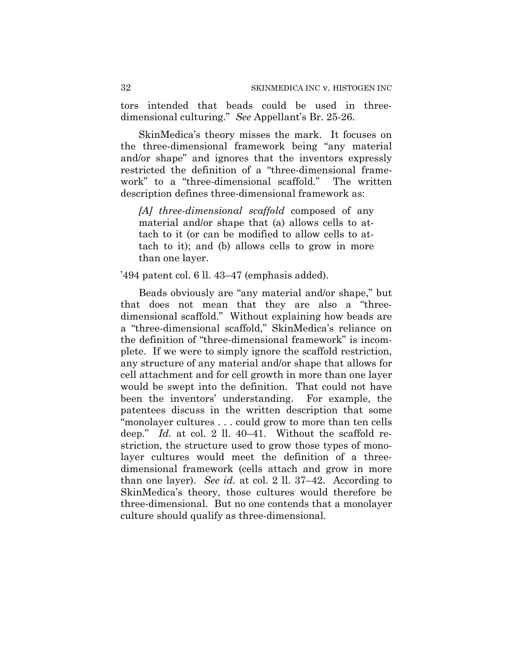tors intended that beads could be used in threedimensional culturing." *See* Appellant's Br. 25-26.

SkinMedica's theory misses the mark. It focuses on the three-dimensional framework being "any material and/or shape" and ignores that the inventors expressly restricted the definition of a "three-dimensional framework" to a "three-dimensional scaffold." The written description defines three-dimensional framework as:

*[A] three-dimensional scaffold* composed of any material and/or shape that (a) allows cells to attach to it (or can be modified to allow cells to attach to it); and (b) allows cells to grow in more than one layer.

## '494 patent col. 6 ll. 43–47 (emphasis added).

Beads obviously are "any material and/or shape," but that does not mean that they are also a "threedimensional scaffold." Without explaining how beads are a "three-dimensional scaffold," SkinMedica's reliance on the definition of "three-dimensional framework" is incomplete. If we were to simply ignore the scaffold restriction, any structure of any material and/or shape that allows for cell attachment and for cell growth in more than one layer would be swept into the definition. That could not have been the inventors' understanding. For example, the patentees discuss in the written description that some "monolayer cultures . . . could grow to more than ten cells deep." *Id.* at col. 2 ll. 40–41. Without the scaffold restriction, the structure used to grow those types of monolayer cultures would meet the definition of a threedimensional framework (cells attach and grow in more than one layer). *See id.* at col. 2 ll. 37–42. According to SkinMedica's theory, those cultures would therefore be three-dimensional. But no one contends that a monolayer culture should qualify as three-dimensional.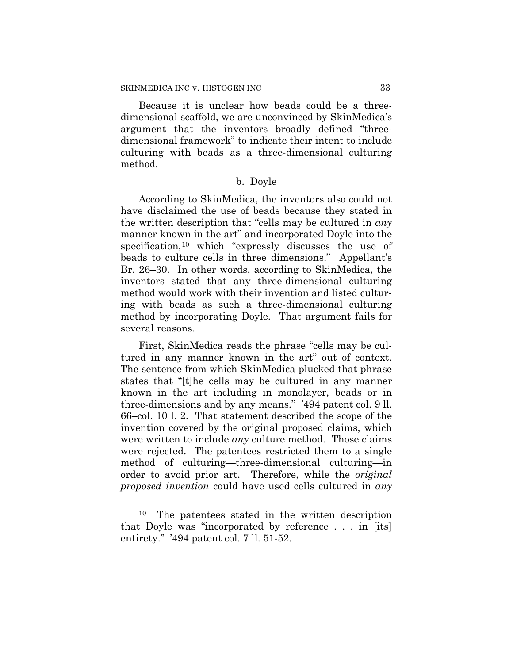Because it is unclear how beads could be a threedimensional scaffold, we are unconvinced by SkinMedica's argument that the inventors broadly defined "threedimensional framework" to indicate their intent to include culturing with beads as a three-dimensional culturing method.

#### b. Doyle

According to SkinMedica, the inventors also could not have disclaimed the use of beads because they stated in the written description that "cells may be cultured in *any* manner known in the art" and incorporated Doyle into the specification,<sup>10</sup> which "expressly discusses the use of beads to culture cells in three dimensions." Appellant's Br. 26–30. In other words, according to SkinMedica, the inventors stated that any three-dimensional culturing method would work with their invention and listed culturing with beads as such a three-dimensional culturing method by incorporating Doyle. That argument fails for several reasons.

First, SkinMedica reads the phrase "cells may be cultured in any manner known in the art" out of context. The sentence from which SkinMedica plucked that phrase states that "[t]he cells may be cultured in any manner known in the art including in monolayer, beads or in three-dimensions and by any means." '494 patent col. 9 ll. 66–col. 10 l. 2. That statement described the scope of the invention covered by the original proposed claims, which were written to include *any* culture method. Those claims were rejected. The patentees restricted them to a single method of culturing—three-dimensional culturing—in order to avoid prior art. Therefore, while the *original proposed invention* could have used cells cultured in *any*

 $\overline{a}$ 

<sup>10</sup> The patentees stated in the written description that Doyle was "incorporated by reference . . . in [its] entirety." '494 patent col. 7 ll. 51-52.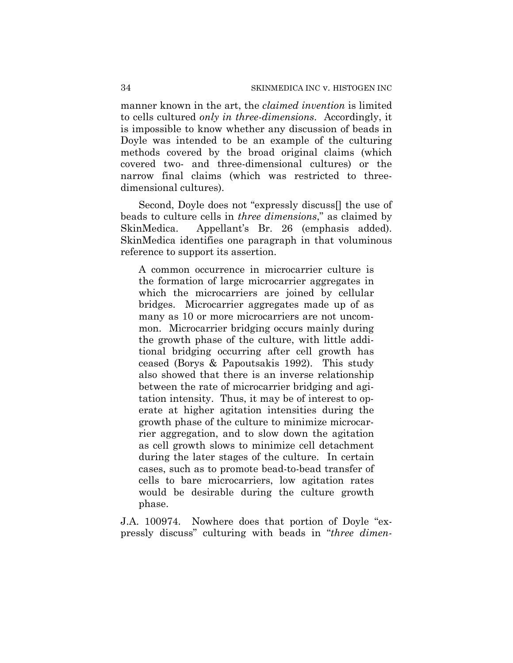manner known in the art, the *claimed invention* is limited to cells cultured *only in three-dimensions*. Accordingly, it is impossible to know whether any discussion of beads in Doyle was intended to be an example of the culturing methods covered by the broad original claims (which covered two- and three-dimensional cultures) or the narrow final claims (which was restricted to threedimensional cultures).

Second, Doyle does not "expressly discuss[] the use of beads to culture cells in *three dimensions*," as claimed by SkinMedica. Appellant's Br. 26 (emphasis added). SkinMedica identifies one paragraph in that voluminous reference to support its assertion.

A common occurrence in microcarrier culture is the formation of large microcarrier aggregates in which the microcarriers are joined by cellular bridges. Microcarrier aggregates made up of as many as 10 or more microcarriers are not uncommon. Microcarrier bridging occurs mainly during the growth phase of the culture, with little additional bridging occurring after cell growth has ceased (Borys & Papoutsakis 1992). This study also showed that there is an inverse relationship between the rate of microcarrier bridging and agitation intensity. Thus, it may be of interest to operate at higher agitation intensities during the growth phase of the culture to minimize microcarrier aggregation, and to slow down the agitation as cell growth slows to minimize cell detachment during the later stages of the culture. In certain cases, such as to promote bead-to-bead transfer of cells to bare microcarriers, low agitation rates would be desirable during the culture growth phase.

J.A. 100974. Nowhere does that portion of Doyle "expressly discuss" culturing with beads in "*three dimen-*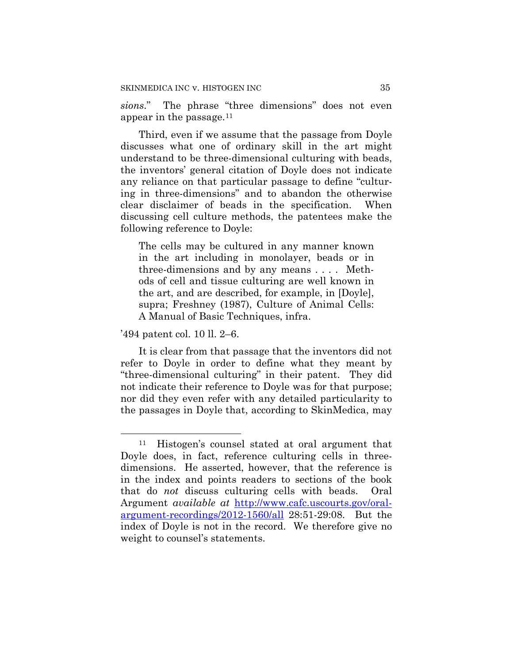*sions*." The phrase "three dimensions" does not even appear in the passage.11

Third, even if we assume that the passage from Doyle discusses what one of ordinary skill in the art might understand to be three-dimensional culturing with beads, the inventors' general citation of Doyle does not indicate any reliance on that particular passage to define "culturing in three-dimensions" and to abandon the otherwise clear disclaimer of beads in the specification. When discussing cell culture methods, the patentees make the following reference to Doyle:

The cells may be cultured in any manner known in the art including in monolayer, beads or in three-dimensions and by any means . . . . Methods of cell and tissue culturing are well known in the art, and are described, for example, in [Doyle], supra; Freshney (1987), Culture of Animal Cells: A Manual of Basic Techniques, infra.

'494 patent col. 10 ll. 2–6.

 $\overline{a}$ 

It is clear from that passage that the inventors did not refer to Doyle in order to define what they meant by "three-dimensional culturing" in their patent. They did not indicate their reference to Doyle was for that purpose; nor did they even refer with any detailed particularity to the passages in Doyle that, according to SkinMedica, may

<sup>11</sup> Histogen's counsel stated at oral argument that Doyle does, in fact, reference culturing cells in threedimensions. He asserted, however, that the reference is in the index and points readers to sections of the book that do *not* discuss culturing cells with beads. Oral Argument *available at* http://www.cafc.uscourts.gov/oralargument-recordings/2012-1560/all 28:51-29:08. But the index of Doyle is not in the record. We therefore give no weight to counsel's statements.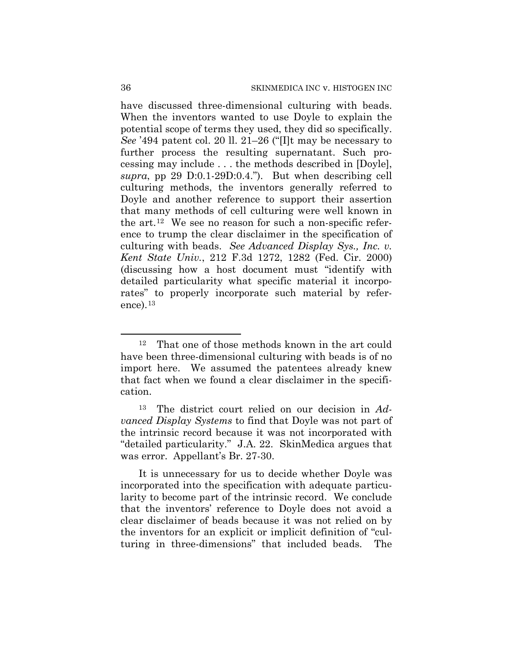have discussed three-dimensional culturing with beads. When the inventors wanted to use Doyle to explain the potential scope of terms they used, they did so specifically. *See* '494 patent col. 20 ll. 21–26 ("[I]t may be necessary to further process the resulting supernatant. Such processing may include . . . the methods described in [Doyle], *supra*, pp 29 D:0.1-29D:0.4."). But when describing cell culturing methods, the inventors generally referred to Doyle and another reference to support their assertion that many methods of cell culturing were well known in the art.12 We see no reason for such a non-specific reference to trump the clear disclaimer in the specification of culturing with beads. *See Advanced Display Sys., Inc. v. Kent State Univ.*, 212 F.3d 1272, 1282 (Fed. Cir. 2000) (discussing how a host document must "identify with detailed particularity what specific material it incorporates" to properly incorporate such material by reference).13

 $\overline{a}$ 

<sup>12</sup> That one of those methods known in the art could have been three-dimensional culturing with beads is of no import here. We assumed the patentees already knew that fact when we found a clear disclaimer in the specification.

<sup>13</sup> The district court relied on our decision in *Advanced Display Systems* to find that Doyle was not part of the intrinsic record because it was not incorporated with "detailed particularity." J.A. 22. SkinMedica argues that was error. Appellant's Br. 27-30.

It is unnecessary for us to decide whether Doyle was incorporated into the specification with adequate particularity to become part of the intrinsic record. We conclude that the inventors' reference to Doyle does not avoid a clear disclaimer of beads because it was not relied on by the inventors for an explicit or implicit definition of "culturing in three-dimensions" that included beads. The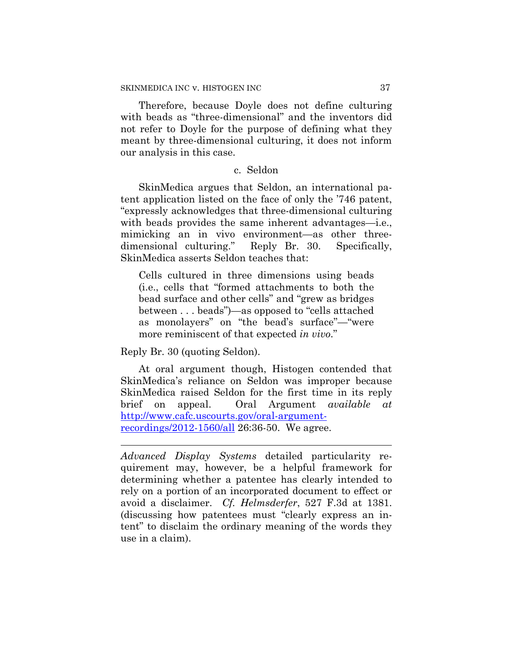Therefore, because Doyle does not define culturing with beads as "three-dimensional" and the inventors did not refer to Doyle for the purpose of defining what they meant by three-dimensional culturing, it does not inform our analysis in this case.

## c. Seldon

SkinMedica argues that Seldon, an international patent application listed on the face of only the '746 patent, "expressly acknowledges that three-dimensional culturing with beads provides the same inherent advantages—i.e., mimicking an in vivo environment—as other threedimensional culturing." Reply Br. 30. Specifically, SkinMedica asserts Seldon teaches that:

Cells cultured in three dimensions using beads (i.e., cells that "formed attachments to both the bead surface and other cells" and "grew as bridges between . . . beads")—as opposed to "cells attached as monolayers" on "the bead's surface"—"were more reminiscent of that expected *in vivo*."

Reply Br. 30 (quoting Seldon).

 $\overline{a}$ 

At oral argument though, Histogen contended that SkinMedica's reliance on Seldon was improper because SkinMedica raised Seldon for the first time in its reply brief on appeal. Oral Argument *available at* http://www.cafc.uscourts.gov/oral-argumentrecordings/2012-1560/all 26:36-50. We agree.

*Advanced Display Systems* detailed particularity requirement may, however, be a helpful framework for determining whether a patentee has clearly intended to rely on a portion of an incorporated document to effect or avoid a disclaimer. *Cf. Helmsderfer*, 527 F.3d at 1381. (discussing how patentees must "clearly express an intent" to disclaim the ordinary meaning of the words they use in a claim).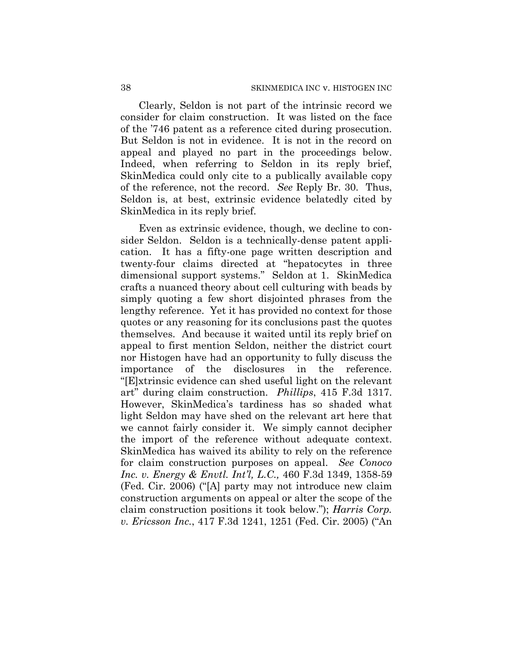Clearly, Seldon is not part of the intrinsic record we consider for claim construction. It was listed on the face of the '746 patent as a reference cited during prosecution. But Seldon is not in evidence. It is not in the record on appeal and played no part in the proceedings below. Indeed, when referring to Seldon in its reply brief, SkinMedica could only cite to a publically available copy of the reference, not the record. *See* Reply Br. 30. Thus, Seldon is, at best, extrinsic evidence belatedly cited by SkinMedica in its reply brief.

Even as extrinsic evidence, though, we decline to consider Seldon. Seldon is a technically-dense patent application. It has a fifty-one page written description and twenty-four claims directed at "hepatocytes in three dimensional support systems." Seldon at 1. SkinMedica crafts a nuanced theory about cell culturing with beads by simply quoting a few short disjointed phrases from the lengthy reference. Yet it has provided no context for those quotes or any reasoning for its conclusions past the quotes themselves. And because it waited until its reply brief on appeal to first mention Seldon, neither the district court nor Histogen have had an opportunity to fully discuss the importance of the disclosures in the reference. "[E]xtrinsic evidence can shed useful light on the relevant art" during claim construction. *Phillips*, 415 F.3d 1317. However, SkinMedica's tardiness has so shaded what light Seldon may have shed on the relevant art here that we cannot fairly consider it. We simply cannot decipher the import of the reference without adequate context. SkinMedica has waived its ability to rely on the reference for claim construction purposes on appeal. *See Conoco Inc. v. Energy & Envtl. Int'l, L.C.,* 460 F.3d 1349, 1358-59 (Fed. Cir. 2006) ("[A] party may not introduce new claim construction arguments on appeal or alter the scope of the claim construction positions it took below."); *Harris Corp. v. Ericsson Inc.*, 417 F.3d 1241, 1251 (Fed. Cir. 2005) ("An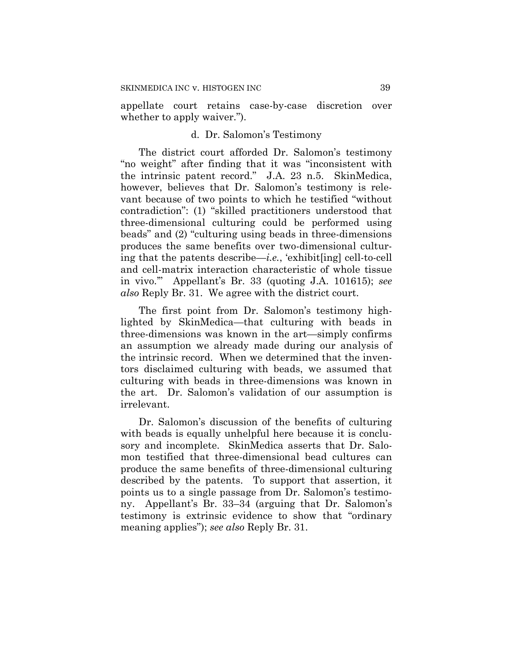appellate court retains case-by-case discretion over whether to apply waiver.").

#### d. Dr. Salomon's Testimony

The district court afforded Dr. Salomon's testimony "no weight" after finding that it was "inconsistent with the intrinsic patent record." J.A. 23 n.5. SkinMedica, however, believes that Dr. Salomon's testimony is relevant because of two points to which he testified "without contradiction": (1) "skilled practitioners understood that three-dimensional culturing could be performed using beads" and (2) "culturing using beads in three-dimensions produces the same benefits over two-dimensional culturing that the patents describe—*i.e.*, 'exhibit[ing] cell-to-cell and cell-matrix interaction characteristic of whole tissue in vivo.'" Appellant's Br. 33 (quoting J.A. 101615); *see also* Reply Br. 31. We agree with the district court.

The first point from Dr. Salomon's testimony highlighted by SkinMedica—that culturing with beads in three-dimensions was known in the art—simply confirms an assumption we already made during our analysis of the intrinsic record. When we determined that the inventors disclaimed culturing with beads, we assumed that culturing with beads in three-dimensions was known in the art. Dr. Salomon's validation of our assumption is irrelevant.

Dr. Salomon's discussion of the benefits of culturing with beads is equally unhelpful here because it is conclusory and incomplete. SkinMedica asserts that Dr. Salomon testified that three-dimensional bead cultures can produce the same benefits of three-dimensional culturing described by the patents. To support that assertion, it points us to a single passage from Dr. Salomon's testimony. Appellant's Br. 33–34 (arguing that Dr. Salomon's testimony is extrinsic evidence to show that "ordinary meaning applies"); *see also* Reply Br. 31.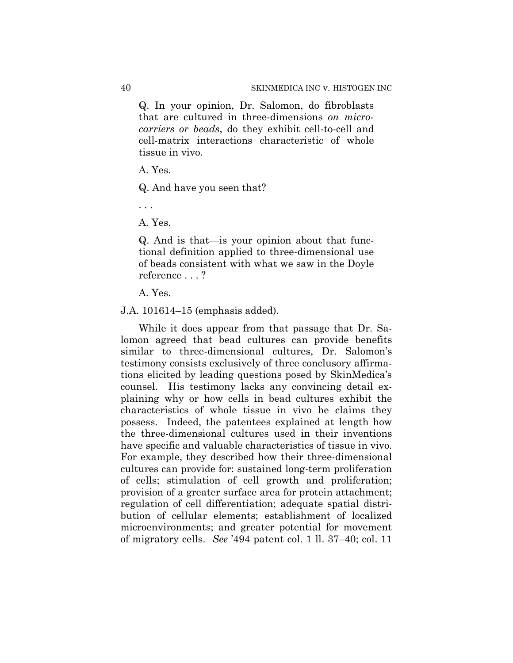Q. In your opinion, Dr. Salomon, do fibroblasts that are cultured in three-dimensions *on microcarriers or beads*, do they exhibit cell-to-cell and cell-matrix interactions characteristic of whole tissue in vivo.

A. Yes.

Q. And have you seen that?

. . .

A. Yes.

Q. And is that—is your opinion about that functional definition applied to three-dimensional use of beads consistent with what we saw in the Doyle reference . . . ?

A. Yes.

J.A. 101614–15 (emphasis added).

While it does appear from that passage that Dr. Salomon agreed that bead cultures can provide benefits similar to three-dimensional cultures, Dr. Salomon's testimony consists exclusively of three conclusory affirmations elicited by leading questions posed by SkinMedica's counsel. His testimony lacks any convincing detail explaining why or how cells in bead cultures exhibit the characteristics of whole tissue in vivo he claims they possess. Indeed, the patentees explained at length how the three-dimensional cultures used in their inventions have specific and valuable characteristics of tissue in vivo. For example, they described how their three-dimensional cultures can provide for: sustained long-term proliferation of cells; stimulation of cell growth and proliferation; provision of a greater surface area for protein attachment; regulation of cell differentiation; adequate spatial distribution of cellular elements; establishment of localized microenvironments; and greater potential for movement of migratory cells. *See* '494 patent col. 1 ll. 37–40; col. 11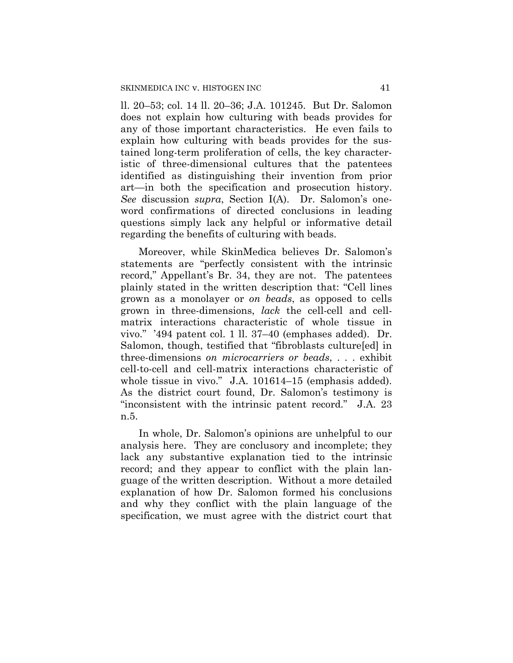ll. 20–53; col. 14 ll. 20–36; J.A. 101245. But Dr. Salomon does not explain how culturing with beads provides for any of those important characteristics. He even fails to explain how culturing with beads provides for the sustained long-term proliferation of cells, the key characteristic of three-dimensional cultures that the patentees identified as distinguishing their invention from prior art—in both the specification and prosecution history. *See* discussion *supra*, Section I(A). Dr. Salomon's oneword confirmations of directed conclusions in leading questions simply lack any helpful or informative detail regarding the benefits of culturing with beads.

Moreover, while SkinMedica believes Dr. Salomon's statements are "perfectly consistent with the intrinsic record," Appellant's Br. 34, they are not. The patentees plainly stated in the written description that: "Cell lines grown as a monolayer or *on beads*, as opposed to cells grown in three-dimensions, *lack* the cell-cell and cellmatrix interactions characteristic of whole tissue in vivo." '494 patent col. 1 ll. 37–40 (emphases added). Dr. Salomon, though, testified that "fibroblasts culture[ed] in three-dimensions *on microcarriers or beads*, . . . exhibit cell-to-cell and cell-matrix interactions characteristic of whole tissue in vivo." J.A. 101614–15 (emphasis added). As the district court found, Dr. Salomon's testimony is "inconsistent with the intrinsic patent record." J.A. 23 n.5.

In whole, Dr. Salomon's opinions are unhelpful to our analysis here. They are conclusory and incomplete; they lack any substantive explanation tied to the intrinsic record; and they appear to conflict with the plain language of the written description. Without a more detailed explanation of how Dr. Salomon formed his conclusions and why they conflict with the plain language of the specification, we must agree with the district court that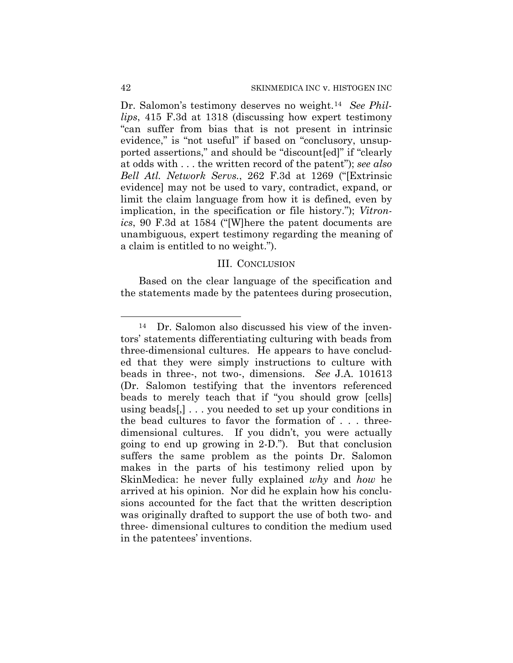Dr. Salomon's testimony deserves no weight.14 *See Phillips*, 415 F.3d at 1318 (discussing how expert testimony "can suffer from bias that is not present in intrinsic evidence," is "not useful" if based on "conclusory, unsupported assertions," and should be "discount[ed]" if "clearly at odds with . . . the written record of the patent"); *see also Bell Atl. Network Servs.*, 262 F.3d at 1269 ("[Extrinsic evidence] may not be used to vary, contradict, expand, or limit the claim language from how it is defined, even by implication, in the specification or file history."); *Vitronics*, 90 F.3d at 1584 ("[W]here the patent documents are unambiguous, expert testimony regarding the meaning of a claim is entitled to no weight.").

## III. CONCLUSION

Based on the clear language of the specification and the statements made by the patentees during prosecution,

 $\overline{a}$ 

<sup>14</sup> Dr. Salomon also discussed his view of the inventors' statements differentiating culturing with beads from three-dimensional cultures. He appears to have concluded that they were simply instructions to culture with beads in three-, not two-, dimensions. *See* J.A. 101613 (Dr. Salomon testifying that the inventors referenced beads to merely teach that if "you should grow [cells] using beads[,] . . . you needed to set up your conditions in the bead cultures to favor the formation of . . . threedimensional cultures. If you didn't, you were actually going to end up growing in 2-D."). But that conclusion suffers the same problem as the points Dr. Salomon makes in the parts of his testimony relied upon by SkinMedica: he never fully explained *why* and *how* he arrived at his opinion. Nor did he explain how his conclusions accounted for the fact that the written description was originally drafted to support the use of both two- and three- dimensional cultures to condition the medium used in the patentees' inventions.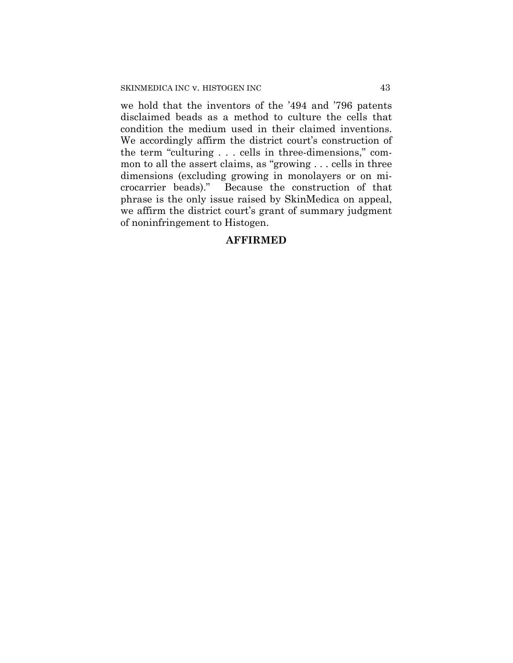we hold that the inventors of the '494 and '796 patents disclaimed beads as a method to culture the cells that condition the medium used in their claimed inventions. We accordingly affirm the district court's construction of the term "culturing . . . cells in three-dimensions," common to all the assert claims, as "growing . . . cells in three dimensions (excluding growing in monolayers or on microcarrier beads)." Because the construction of that phrase is the only issue raised by SkinMedica on appeal, we affirm the district court's grant of summary judgment of noninfringement to Histogen.

## **AFFIRMED**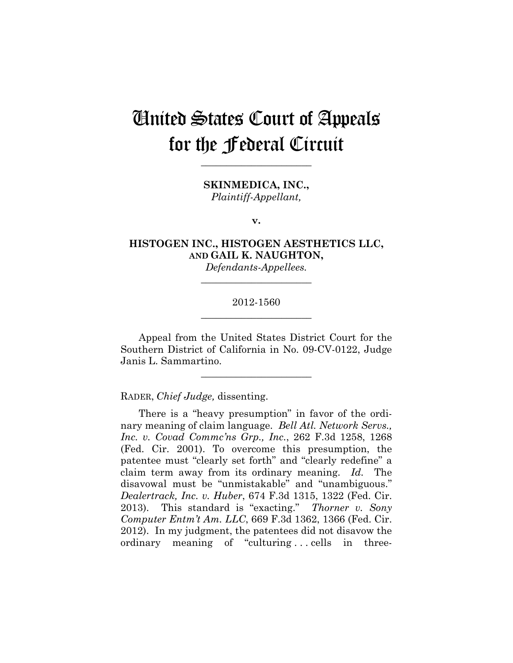# United States Court of Appeals for the Federal Circuit

**SKINMEDICA, INC.,** *Plaintiff-Appellant,*

**\_\_\_\_\_\_\_\_\_\_\_\_\_\_\_\_\_\_\_\_\_\_** 

**v.**

**HISTOGEN INC., HISTOGEN AESTHETICS LLC, AND GAIL K. NAUGHTON,**

*Defendants-Appellees.* **\_\_\_\_\_\_\_\_\_\_\_\_\_\_\_\_\_\_\_\_\_\_** 

## 2012-1560 **\_\_\_\_\_\_\_\_\_\_\_\_\_\_\_\_\_\_\_\_\_\_**

Appeal from the United States District Court for the Southern District of California in No. 09-CV-0122, Judge Janis L. Sammartino.

**\_\_\_\_\_\_\_\_\_\_\_\_\_\_\_\_\_\_\_\_\_\_** 

RADER, *Chief Judge,* dissenting.

There is a "heavy presumption" in favor of the ordinary meaning of claim language. *Bell Atl. Network Servs., Inc. v. Covad Commc'ns Grp., Inc.*, 262 F.3d 1258, 1268 (Fed. Cir. 2001). To overcome this presumption, the patentee must "clearly set forth" and "clearly redefine" a claim term away from its ordinary meaning. *Id.* The disavowal must be "unmistakable" and "unambiguous." *Dealertrack, Inc. v. Huber*, 674 F.3d 1315, 1322 (Fed. Cir. 2013). This standard is "exacting." *Thorner v. Sony Computer Entm't Am. LLC*, 669 F.3d 1362, 1366 (Fed. Cir. 2012). In my judgment, the patentees did not disavow the ordinary meaning of "culturing . . . cells in three-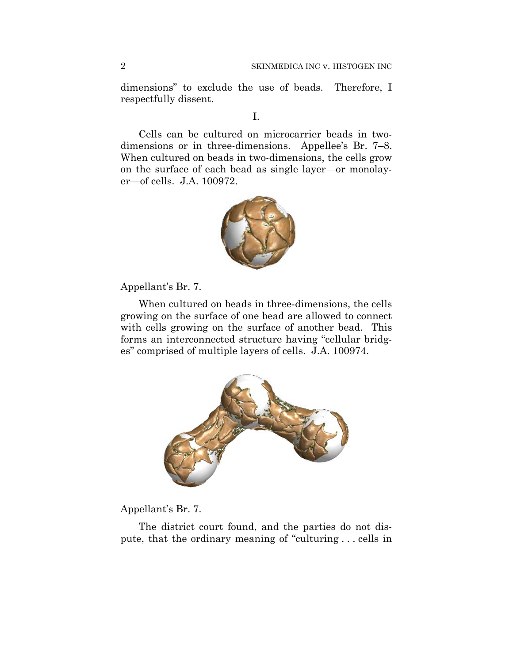dimensions" to exclude the use of beads. Therefore, I respectfully dissent.

## I.

Cells can be cultured on microcarrier beads in twodimensions or in three-dimensions. Appellee's Br. 7–8. When cultured on beads in two-dimensions, the cells grow on the surface of each bead as single layer—or monolayer—of cells. J.A. 100972.



Appellant's Br. 7.

When cultured on beads in three-dimensions, the cells growing on the surface of one bead are allowed to connect with cells growing on the surface of another bead. This forms an interconnected structure having "cellular bridges" comprised of multiple layers of cells. J.A. 100974.



Appellant's Br. 7.

The district court found, and the parties do not dispute, that the ordinary meaning of "culturing . . . cells in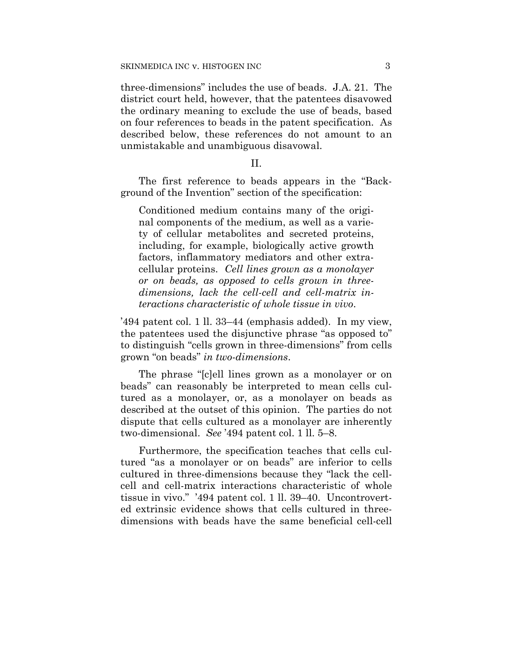three-dimensions" includes the use of beads. J.A. 21. The district court held, however, that the patentees disavowed the ordinary meaning to exclude the use of beads, based on four references to beads in the patent specification. As described below, these references do not amount to an unmistakable and unambiguous disavowal.

II.

The first reference to beads appears in the "Background of the Invention" section of the specification:

Conditioned medium contains many of the original components of the medium, as well as a variety of cellular metabolites and secreted proteins, including, for example, biologically active growth factors, inflammatory mediators and other extracellular proteins. *Cell lines grown as a monolayer or on beads, as opposed to cells grown in threedimensions, lack the cell-cell and cell-matrix interactions characteristic of whole tissue in vivo*.

'494 patent col. 1 ll. 33–44 (emphasis added). In my view, the patentees used the disjunctive phrase "as opposed to" to distinguish "cells grown in three-dimensions" from cells grown "on beads" *in two-dimensions*.

The phrase "[c]ell lines grown as a monolayer or on beads" can reasonably be interpreted to mean cells cultured as a monolayer, or, as a monolayer on beads as described at the outset of this opinion. The parties do not dispute that cells cultured as a monolayer are inherently two-dimensional. *See* '494 patent col. 1 ll. 5–8.

Furthermore, the specification teaches that cells cultured "as a monolayer or on beads" are inferior to cells cultured in three-dimensions because they "lack the cellcell and cell-matrix interactions characteristic of whole tissue in vivo." '494 patent col. 1 ll. 39–40. Uncontroverted extrinsic evidence shows that cells cultured in threedimensions with beads have the same beneficial cell-cell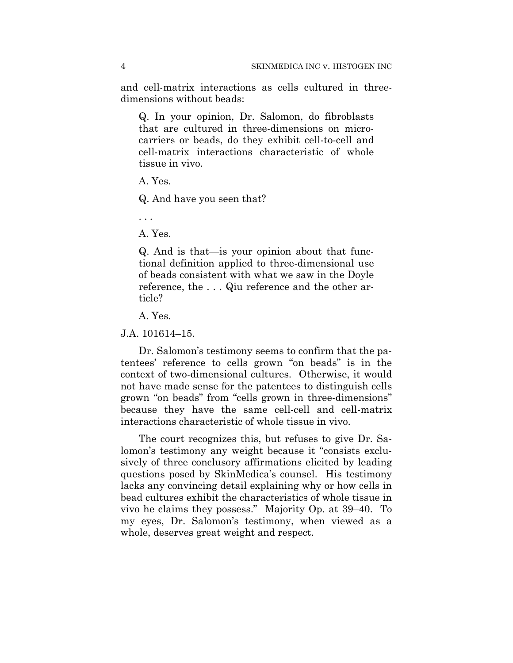and cell-matrix interactions as cells cultured in threedimensions without beads:

Q. In your opinion, Dr. Salomon, do fibroblasts that are cultured in three-dimensions on microcarriers or beads, do they exhibit cell-to-cell and cell-matrix interactions characteristic of whole tissue in vivo.

A. Yes.

Q. And have you seen that?

. . .

A. Yes.

Q. And is that—is your opinion about that functional definition applied to three-dimensional use of beads consistent with what we saw in the Doyle reference, the . . . Qiu reference and the other article?

A. Yes.

J.A. 101614–15.

Dr. Salomon's testimony seems to confirm that the patentees' reference to cells grown "on beads" is in the context of two-dimensional cultures. Otherwise, it would not have made sense for the patentees to distinguish cells grown "on beads" from "cells grown in three-dimensions" because they have the same cell-cell and cell-matrix interactions characteristic of whole tissue in vivo.

The court recognizes this, but refuses to give Dr. Salomon's testimony any weight because it "consists exclusively of three conclusory affirmations elicited by leading questions posed by SkinMedica's counsel. His testimony lacks any convincing detail explaining why or how cells in bead cultures exhibit the characteristics of whole tissue in vivo he claims they possess." Majority Op. at 39–40. To my eyes, Dr. Salomon's testimony, when viewed as a whole, deserves great weight and respect.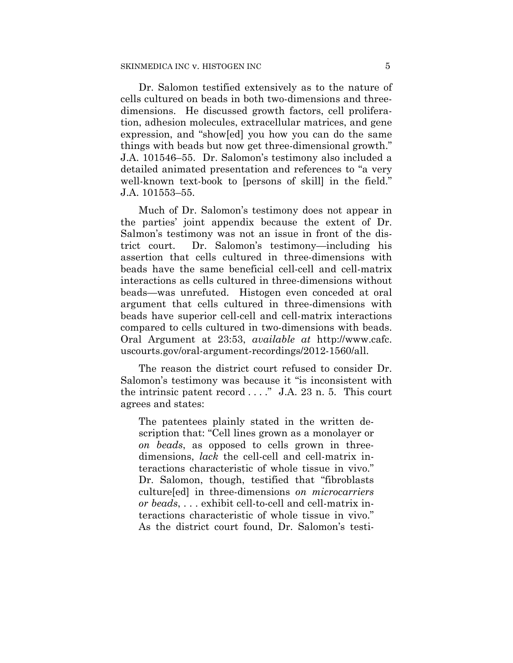Dr. Salomon testified extensively as to the nature of cells cultured on beads in both two-dimensions and threedimensions. He discussed growth factors, cell proliferation, adhesion molecules, extracellular matrices, and gene expression, and "show[ed] you how you can do the same things with beads but now get three-dimensional growth." J.A. 101546–55. Dr. Salomon's testimony also included a detailed animated presentation and references to "a very well-known text-book to [persons of skill] in the field." J.A. 101553–55.

Much of Dr. Salomon's testimony does not appear in the parties' joint appendix because the extent of Dr. Salmon's testimony was not an issue in front of the district court. Dr. Salomon's testimony—including his assertion that cells cultured in three-dimensions with beads have the same beneficial cell-cell and cell-matrix interactions as cells cultured in three-dimensions without beads—was unrefuted. Histogen even conceded at oral argument that cells cultured in three-dimensions with beads have superior cell-cell and cell-matrix interactions compared to cells cultured in two-dimensions with beads. Oral Argument at 23:53, *available at* http://www.cafc. uscourts.gov/oral-argument-recordings/2012-1560/all.

The reason the district court refused to consider Dr. Salomon's testimony was because it "is inconsistent with the intrinsic patent record  $\dots$ ." J.A. 23 n. 5. This court agrees and states:

The patentees plainly stated in the written description that: "Cell lines grown as a monolayer or *on beads*, as opposed to cells grown in threedimensions, *lack* the cell-cell and cell-matrix interactions characteristic of whole tissue in vivo." Dr. Salomon, though, testified that "fibroblasts culture[ed] in three-dimensions *on microcarriers or beads*, . . . exhibit cell-to-cell and cell-matrix interactions characteristic of whole tissue in vivo." As the district court found, Dr. Salomon's testi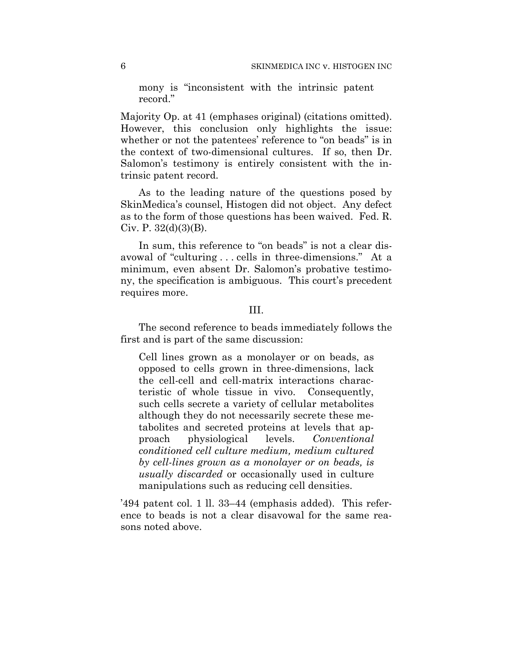mony is "inconsistent with the intrinsic patent record."

Majority Op. at 41 (emphases original) (citations omitted). However, this conclusion only highlights the issue: whether or not the patentees' reference to "on beads" is in the context of two-dimensional cultures. If so, then Dr. Salomon's testimony is entirely consistent with the intrinsic patent record.

As to the leading nature of the questions posed by SkinMedica's counsel, Histogen did not object. Any defect as to the form of those questions has been waived. Fed. R. Civ. P.  $32(d)(3)(B)$ .

In sum, this reference to "on beads" is not a clear disavowal of "culturing . . . cells in three-dimensions." At a minimum, even absent Dr. Salomon's probative testimony, the specification is ambiguous. This court's precedent requires more.

## III.

The second reference to beads immediately follows the first and is part of the same discussion:

Cell lines grown as a monolayer or on beads, as opposed to cells grown in three-dimensions, lack the cell-cell and cell-matrix interactions characteristic of whole tissue in vivo. Consequently, such cells secrete a variety of cellular metabolites although they do not necessarily secrete these metabolites and secreted proteins at levels that approach physiological levels. *Conventional conditioned cell culture medium, medium cultured by cell-lines grown as a monolayer or on beads, is usually discarded* or occasionally used in culture manipulations such as reducing cell densities.

'494 patent col. 1 ll. 33–44 (emphasis added). This reference to beads is not a clear disavowal for the same reasons noted above.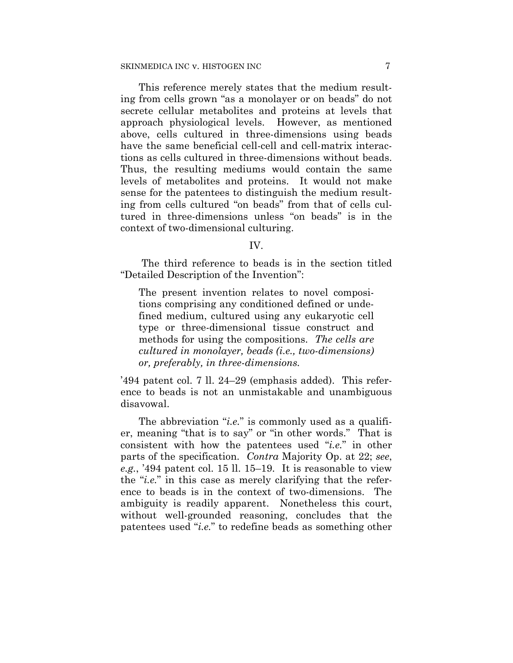This reference merely states that the medium resulting from cells grown "as a monolayer or on beads" do not secrete cellular metabolites and proteins at levels that approach physiological levels. However, as mentioned above, cells cultured in three-dimensions using beads have the same beneficial cell-cell and cell-matrix interactions as cells cultured in three-dimensions without beads. Thus, the resulting mediums would contain the same levels of metabolites and proteins. It would not make sense for the patentees to distinguish the medium resulting from cells cultured "on beads" from that of cells cultured in three-dimensions unless "on beads" is in the context of two-dimensional culturing.

#### IV.

 The third reference to beads is in the section titled "Detailed Description of the Invention":

The present invention relates to novel compositions comprising any conditioned defined or undefined medium, cultured using any eukaryotic cell type or three-dimensional tissue construct and methods for using the compositions. *The cells are cultured in monolayer, beads (i.e., two-dimensions) or, preferably, in three-dimensions.*

'494 patent col. 7 ll. 24–29 (emphasis added). This reference to beads is not an unmistakable and unambiguous disavowal.

The abbreviation "*i.e.*" is commonly used as a qualifier, meaning "that is to say" or "in other words." That is consistent with how the patentees used "*i.e.*" in other parts of the specification. *Contra* Majority Op. at 22; *see*, *e.g.*, '494 patent col. 15 ll. 15–19. It is reasonable to view the "*i.e.*" in this case as merely clarifying that the reference to beads is in the context of two-dimensions. The ambiguity is readily apparent. Nonetheless this court, without well-grounded reasoning, concludes that the patentees used "*i.e.*" to redefine beads as something other